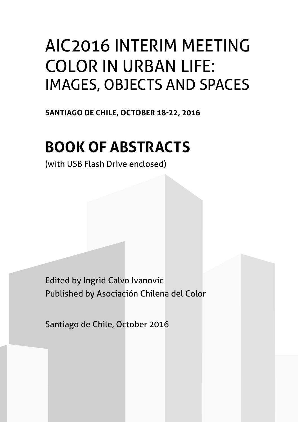# aic2016 Interim meeting color in urban life: images, objects and spaces

**SANTIAGO DE CHILE, OCTOBER 18-22, 2016**

# **book of abstracts**

(with USB Flash Drive enclosed)

Edited by Ingrid Calvo Ivanovic Published by Asociación Chilena del Color

Santiago de Chile, October 2016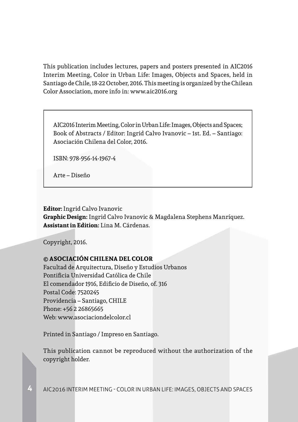This publication includes lectures, papers and posters presented in AIC2016 Interim Meeting, Color in Urban Life: Images, Objects and Spaces, held in Santiago de Chile, 18-22 October, 2016. This meeting is organized by the Chilean Color Association, more info in: www.aic2016.org

AIC2016 Interim Meeting, Color in Urban Life: Images, Objects and Spaces; Book of Abstracts / Editor: Ingrid Calvo Ivanovic – 1st. Ed. – Santiago: Asociación Chilena del Color, 2016.

ISBN: 978-956-14-1967-4

Arte – Diseño

**Editor:** Ingrid Calvo Ivanovic **Graphic Design:** Ingrid Calvo Ivanovic & Magdalena Stephens Manríquez. **Assistant in Edition:** Lina M. Cárdenas.

Copyright, 2016.

#### **© Asociación Chilena del Color**

Facultad de Arquitectura, Diseño y Estudios Urbanos Pontificia Universidad Católica de Chile El comendador 1916, Edificio de Diseño, of. 316 Postal Code: 7520245 Providencia – Santiago, CHILE Phone: +56 2 26865665 Web: www.asociaciondelcolor.cl

Printed in Santiago / Impreso en Santiago.

This publication cannot be reproduced without the authorization of the copyright holder.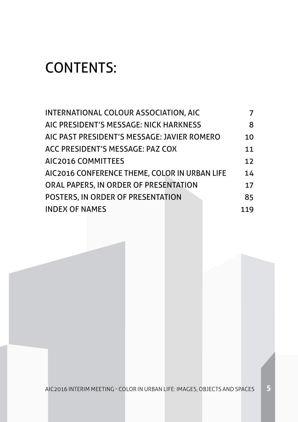# CONTENTS:

| INTERNATIONAL COLOUR ASSOCIATION, AIC         |     |    |
|-----------------------------------------------|-----|----|
| AIC PRESIDENT'S MESSAGE: NICK HARKNESS        |     | 8  |
| AIC PAST PRESIDENT'S MESSAGE: JAVIER ROMERO   |     | 10 |
| ACC PRESIDENT'S MESSAGE: PAZ COX              |     | 11 |
| <b>AIC2016 COMMITTEES</b>                     |     | 12 |
| AIC2016 CONFERENCE THEME, COLOR IN URBAN LIFE |     | 14 |
| ORAL PAPERS, IN ORDER OF PRESENTATION         |     | 17 |
| POSTERS, IN ORDER OF PRESENTATION             |     | 85 |
| <b>INDEX OF NAMES</b>                         | 119 |    |
|                                               |     |    |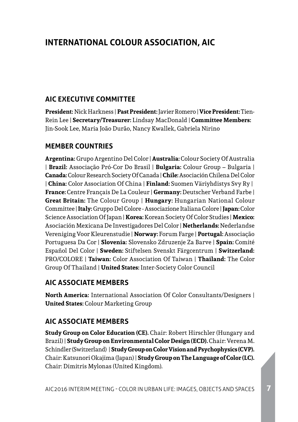# **INTERNATIONAL COLOUR ASSOCIATION, AIC**

## **AIC EXECUTIVE COMMITTEE**

**President:** Nick Harkness | **Past President:** Javier Romero | **Vice President:** Tien-Rein Lee | **Secretary/Treasurer:** Lindsay MacDonald | **Committee Members:** Jin-Sook Lee, Maria João Durão, Nancy Kwallek, Gabriela Nirino

#### **Member Countries**

**Argentina:** Grupo Argentino Del Color | **Australia:** Colour Society Of Australia | **Brazil:** Associação Pró-Cor Do Brasil | **Bulgaria:** Colour Group – Bulgaria | **Canada:** Colour Research Society Of Canada | **Chile:** Asociación Chilena Del Color | **China:** Color Association Of China | **Finland:** Suomen Väriyhdistys Svy Ry | **France:** Centre Français De La Couleur | **Germany:** Deutscher Verband Farbe | **Great Britain:** The Colour Group | **Hungary:** Hungarian National Colour Committee | **Italy:** Gruppo Del Colore - Associazione Italiana Colore | **Japan:** Color Science Association Of Japan | **Korea:** Korean Society Of Color Studies | **Mexico:** Asociación Mexicana De Investigadores Del Color | **Netherlands:** Nederlandse Vereniging Voor Kleurenstudie | **Norway:** Forum Farge | **Portugal:** Associação Portuguesa Da Cor | **Slovenia:** Slovensko Zdruzenje Za Barve | **Spain:** Comité Español Del Color | **Sweden:** Stiftelsen Svenskt Färgcentrum | **Switzerland:**  PRO/COLORE | **Taiwan:** Color Association Of Taiwan | **Thailand:** The Color Group Of Thailand | **United States:** Inter-Society Color Council

## **AIC Associate Members**

**North America:** International Association Of Color Consultants/Designers | **United States:** Colour Marketing Group

## **AIC Associate Members**

**Study Group on Color Education (CE).** Chair: Robert Hirschler (Hungary and Brazil) | **Study Group on Environmental Color Design (ECD).** Chair: Verena M. Schindler (Switzerland) | **Study Group on Color Vision and Psychophysics (CVP).** Chair: Katsunori Okajima (Japan) | **Study Group on The Language of Color (LC).** Chair: Dimitris Mylonas (United Kingdom).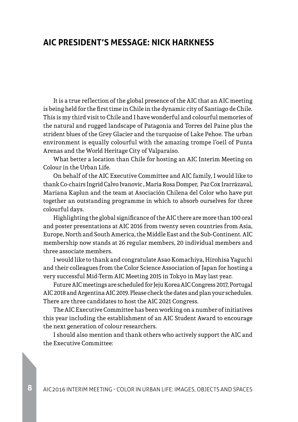## **AIC President's Message: Nick Harkness**

It is a true reflection of the global presence of the AIC that an AIC meeting is being held for the first time in Chile in the dynamic city of Santiago de Chile. This is my third visit to Chile and I have wonderful and colourful memories of the natural and rugged landscape of Patagonia and Torres del Paine plus the strident blues of the Grey Glacier and the turquoise of Lake Pehoe. The urban environment is equally colourful with the amazing trompe l'oeil of Punta Arenas and the World Heritage City of Valparaiso.

What better a location than Chile for hosting an AIC Interim Meeting on Colour in the Urban Life.

On behalf of the AIC Executive Committee and AIC family, I would like to thank Co-chairs Ingrid Calvo Ivanovic , Maria Rosa Domper, Paz Cox Irarrázaval, Mariana Kaplun and the team at Asociación Chilena del Color who have put together an outstanding programme in which to absorb ourselves for three colourful days.

Highlighting the global significance of the AIC there are more than 100 oral and poster presentations at AIC 2016 from twenty seven countries from Asia, Europe, North and South America, the Middle East and the Sub-Continent. AIC membership now stands at 26 regular members, 20 individual members and three associate members.

I would like to thank and congratulate Asao Komachiya, Hirohisa Yaguchi and their colleagues from the Color Science Association of Japan for hosting a very successful Mid-Term AIC Meeting 2015 in Tokyo in May last year.

Future AIC meetings are scheduled for Jeju Korea AIC Congress 2017, Portugal AIC 2018 and Argentina AIC 2019. Please check the dates and plan your schedules. There are three candidates to host the AIC 2021 Congress.

The AIC Executive Committee has been working on a number of initiatives this year including the establishment of an AIC Student Award to encourage the next generation of colour researchers.

I should also mention and thank others who actively support the AIC and the Executive Committee: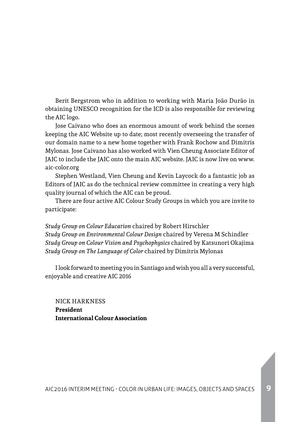Berit Bergstrom who in addition to working with Maria João Durão in obtaining UNESCO recognition for the ICD is also responsible for reviewing the AIC logo.

Jose Caivano who does an enormous amount of work behind the scenes keeping the AIC Website up to date; most recently overseeing the transfer of our domain name to a new home together with Frank Rochow and Dimitris Mylonas. Jose Caivano has also worked with Vien Cheung Associate Editor of JAIC to include the JAIC onto the main AIC website. JAIC is now live on www. aic-color.org

Stephen Westland, Vien Cheung and Kevin Laycock do a fantastic job as Editors of JAIC as do the technical review committee in creating a very high quality journal of which the AIC can be proud.

There are four active AIC Colour Study Groups in which you are invite to participate:

*Study Group on Colour Education* chaired by Robert Hirschler *Study Group on Environmental Colour Design* chaired by Verena M Schindler *Study Group on Colour Vision and Psychophysics* chaired by Katsunori Okajima *Study Group on The Language of Color* chaired by Dimitris Mylonas

I look forward to meeting you in Santiago and wish you all a very successful, enjoyable and creative AIC 2016

Nick Harkness **President International Colour Association**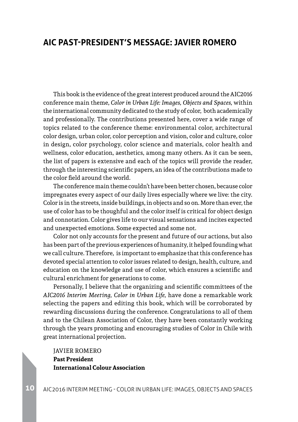## **AIC Past-President's Message: javier romero**

This book is the evidence of the great interest produced around the AIC2016 conference main theme, *Color in Urban Life: Images, Objects and Spaces,* within the international community dedicated to the study of color, both academically and professionally. The contributions presented here, cover a wide range of topics related to the conference theme: environmental color, architectural color design, urban color, color perception and vision, color and culture, color in design, color psychology, color science and materials, color health and wellness, color education, aesthetics, among many others. As it can be seen, the list of papers is extensive and each of the topics will provide the reader, through the interesting scientific papers, an idea of the contributions made to the color field around the world.

The conference main theme couldn't have been better chosen, because color impregnates every aspect of our daily lives especially where we live: the city. Color is in the streets, inside buildings, in objects and so on. More than ever, the use of color has to be thoughful and the color itself is critical for object design and connotation. Color gives life to our visual sensations and incites expected and unexpected emotions. Some expected and some not.

Color not only accounts for the present and future of our actions, but also has been part of the previous experiences of humanity, it helped founding what we call culture. Therefore, is important to emphasize that this conference has devoted special attention to color issues related to design, health, culture, and education on the knowledge and use of color, which ensures a scientific and cultural enrichment for generations to come.

Personally, I believe that the organizing and scientific committees of the AIC2016 Interim Meeting, Color in Urban Life, have done a remarkable work selecting the papers and editing this book, which will be corroborated by rewarding discussions during the conference. Congratulations to all of them and to the Chilean Association of Color, they have been constantly working through the years promoting and encouraging studies of Color in Chile with great international projection.

javier Romero **Past President International Colour Association**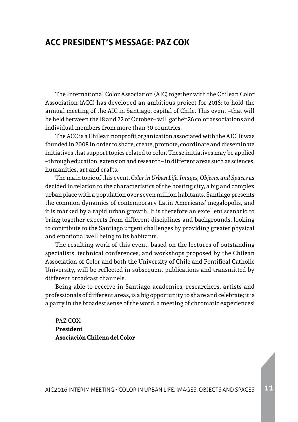## **acc president's message: paz cox**

The International Color Association (AIC) together with the Chilean Color Association (ACC) has developed an ambitious project for 2016: to hold the annual meeting of the AIC in Santiago, capital of Chile. This event –that will be held between the 18 and 22 of October– will gather 26 color associations and individual members from more than 30 countries.

The ACC is a Chilean nonprofit organization associated with the AIC. It was founded in 2008 in order to share, create, promote, coordinate and disseminate initiatives that support topics related to color. These initiatives may be applied –through education, extension and research– in different areas such as sciences, humanities, art and crafts.

The main topic of this event, *Color in Urban Life: Images, Objects, and Spaces* as decided in relation to the characteristics of the hosting city, a big and complex urban place with a population over seven million habitants. Santiago presents the common dynamics of contemporary Latin Americans' megalopolis, and it is marked by a rapid urban growth. It is therefore an excellent scenario to bring together experts from different disciplines and backgrounds, looking to contribute to the Santiago urgent challenges by providing greater physical and emotional well being to its habitants.

The resulting work of this event, based on the lectures of outstanding specialists, technical conferences, and workshops proposed by the Chilean Association of Color and both the University of Chile and Pontifical Catholic University, will be reflected in subsequent publications and transmitted by different broadcast channels.

Being able to receive in Santiago academics, researchers, artists and professionals of different areas, is a big opportunity to share and celebrate; it is a party in the broadest sense of the word, a meeting of chromatic experiences!

PAZ COX **President Asociación Chilena del Color**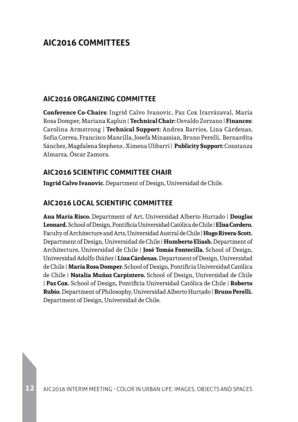# **aic2016 committees**

### **AIC2016 Organizing Committee**

**Conference Co-Chairs:** Ingrid Calvo Ivanovic, Paz Cox Irarrázaval, María Rosa Domper, Mariana Kaplun | **Technical Chair:** Osvaldo Zorzano | **Finances:**  Carolina Armstrong | **Technical Support:** Andrea Barrios, Lina Cárdenas, Sofía Correa, Francisco Mancilla, Josefa Minassian, Bruno Perelli, Bernardita Sánchez, Magdalena Stephens , Ximena Ulibarri | **Publicity Support:** Constanza Almarza, Óscar Zamora.

### **AIC2016 scientific committee chair**

**Ingrid Calvo Ivanovic.** Department of Design, Universidad de Chile.

### **AIC2016 local scientific committee**

**Ana María Risco.** Department of Art, Universidad Alberto Hurtado | **Douglas Leonard.** School of Design, Pontificia Universidad Católica de Chile | **Elisa Cordero.** Faculty of Architecture and Arts, Universidad Austral de Chile | **Hugo Rivera-Scott.** Department of Design, Universidad de Chile | **Humberto Eliash.** Department of Architecture, Universidad de Chile | **José Tomás Fontecilla.** School of Design, Universidad Adolfo Ibáñez | **Lina Cárdenas.** Department of Design, Universidad de Chile | **María Rosa Domper.** School of Design, Pontificia Universidad Católica de Chile | **Natalia Muñoz Carpintero.** School of Design, Universidad de Chile | **Paz Cox.** School of Design, Pontificia Universidad Católica de Chile | **Roberto Rubio.** Department of Philosophy, Universidad Alberto Hurtado | **Bruno Perelli.**  Department of Design, Universidad de Chile.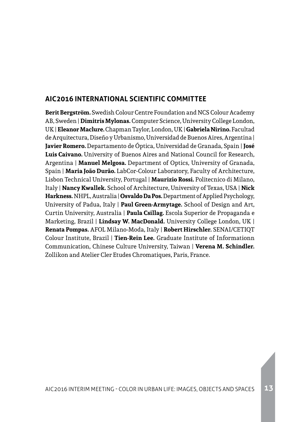#### **AIC2016 international scientific committee**

**Berit Bergström.** Swedish Colour Centre Foundation and NCS Colour Academy AB, Sweden | **Dimitris Mylonas.** Computer Science, University College London, UK | **Eleanor Maclure.** Chapman Taylor, London, UK | **Gabriela Nirino.** Facultad de Arquitectura, Diseño y Urbanismo, Universidad de Buenos Aires, Argentina | **Javier Romero.** Departamento de Óptica, Universidad de Granada, Spain | **José Luis Caivano.** University of Buenos Aires and National Council for Research, Argentina | **Manuel Melgosa.** Department of Optics, University of Granada, Spain | **Maria João Durão.** LabCor-Colour Laboratory, Faculty of Architecture, Lisbon Technical University, Portugal | **Maurizio Rossi.** Politecnico di Milano, Italy | **Nancy Kwallek.** School of Architecture, University of Texas, USA | **Nick Harkness.** NHPL, Australia | **Osvaldo Da Pos.** Department of Applied Psychology, University of Padua, Italy | **Paul Green-Armytage.** School of Design and Art, Curtin University, Australia | **Paula Csillag.** Escola Superior de Propaganda e Marketing, Brazil | **Lindsay W. MacDonald.** University College London, UK | **Renata Pompas.** AFOL Milano-Moda, Italy | **Robert Hirschler.** SENAI/CETIQT Colour Institute, Brazil | **Tien-Rein Lee.** Graduate Institute of Informationn Communication, Chinese Culture University, Taiwan | **Verena M. Schindler.** Zollikon and Atelier Cler Etudes Chromatiques, Paris, France.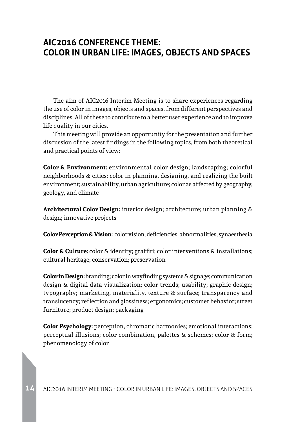# **aic2016 conference theme: color in urban life: images, objects and spaces**

The aim of AIC2016 Interim Meeting is to share experiences regarding the use of color in images, objects and spaces, from different perspectives and disciplines. All of these to contribute to a better user experience and to improve life quality in our cities.

This meeting will provide an opportunity for the presentation and further discussion of the latest findings in the following topics, from both theoretical and practical points of view:

**Color & Environment:** environmental color design; landscaping; colorful neighborhoods & cities; color in planning, designing, and realizing the built environment; sustainability, urban agriculture; color as affected by geography, geology, and climate

**Architectural Color Design:** interior design; architecture; urban planning & design; innovative projects

**Color Perception & Vision:** color vision, deficiencies, abnormalities, synaesthesia

**Color & Culture:** color & identity; graffiti; color interventions & installations; cultural heritage; conservation; preservation

**Color in Design:** branding; color in wayfinding systems & signage; communication design & digital data visualization; color trends; usability; graphic design; typography; marketing, materiality, texture & surface; transparency and translucency; ref lection and glossiness; ergonomics; customer behavior; street furniture; product design; packaging

**Color Psychology:** perception, chromatic harmonies; emotional interactions; perceptual illusions; color combination, palettes & schemes; color & form; phenomenology of color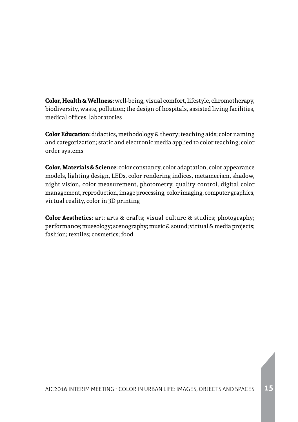**Color, Health & Wellness:** well-being, visual comfort, lifestyle, chromotherapy, biodiversity, waste, pollution; the design of hospitals, assisted living facilities, medical offices, laboratories

**Color Education:** didactics, methodology & theory; teaching aids; color naming and categorization; static and electronic media applied to color teaching; color order systems

**Color, Materials & Science:** color constancy, color adaptation, color appearance models, lighting design, LEDs, color rendering indices, metamerism, shadow, night vision, color measurement, photometry, quality control, digital color management, reproduction, image processing, color imaging, computer graphics, virtual reality, color in 3D printing

**Color Aesthetics:** art; arts & crafts; visual culture & studies; photography; performance; museology; scenography; music & sound; virtual & media projects; fashion; textiles; cosmetics; food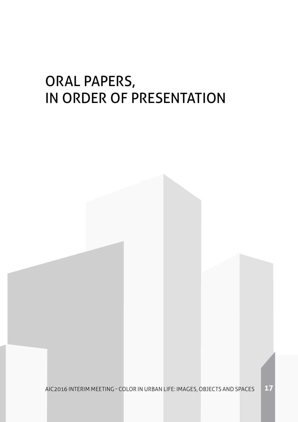# ORAL PAPERS, IN ORDER OF PRESENTATION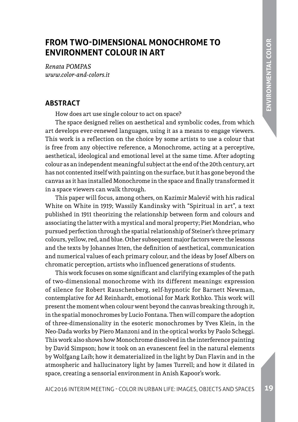# **From Two-Dimensional Monochrome to Environment Colour in Art**

*Renata POMPAS www.color-and-colors.it*

#### **ABSTRACT**

How does art use single colour to act on space?

The space designed relies on aesthetical and symbolic codes, from which art develops ever-renewed languages, using it as a means to engage viewers. This work is a reflection on the choice by some artists to use a colour that is free from any objective reference, a Monochrome, acting at a perceptive, aesthetical, ideological and emotional level at the same time. After adopting colour as an independent meaningful subject at the end of the 20th century, art has not contented itself with painting on the surface, but it has gone beyond the canvas as it has installed Monochrome in the space and finally transformed it in a space viewers can walk through.

This paper will focus, among others, on Kazimir Malevič with his radical White on White in 1919; Wassily Kandinsky with "Spiritual in art", a text published in 1911 theorizing the relationship between form and colours and associating the latter with a mystical and moral property; Piet Mondrian, who pursued perfection through the spatial relationship of Steiner's three primary colours, yellow, red, and blue. Other subsequent major factors were the lessons and the texts by Johannes Itten, the definition of aesthetical, communication and numerical values of each primary colour, and the ideas by Josef Albers on chromatic perception, artists who influenced generations of students.

**ENVIRONMENT COLOUR IN ART**<br> **EFRACT FROM ASS**<br> **EFRACT**<br> **EFRACT**<br> **EFRACT**<br> **EFRACT**<br> **EFRACT**<br> **EFRACT**<br> **EFRACT**<br> **EFRACT**<br> **EFRACT**<br> **EFRACT**<br> **EFRACT**<br> **EFRACT**<br> **EFRACT**<br> **EFRACT**<br> **EFRACT**<br> **EFRACT**<br> **EFRACT**<br> **EFR** This work focuses on some significant and clarifying examples of the path of two-dimensional monochrome with its different meanings: expression of silence for Robert Rauschenberg, self-hypnotic for Barnett Newman, contemplative for Ad Reinhardt, emotional for Mark Rothko. This work will present the moment when colour went beyond the canvas breaking through it, in the spatial monochromes by Lucio Fontana. Then will compare the adoption of three-dimensionality in the esoteric monochromes by Yves Klein, in the Neo-Dada works by Piero Manzoni and in the optical works by Paolo Scheggi. This work also shows how Monochrome dissolved in the interference painting by David Simpson; how it took on an evanescent feel in the natural elements by Wolfgang Laib; how it dematerialized in the light by Dan Flavin and in the atmospheric and hallucinatory light by James Turrell; and how it dilated in space, creating a sensorial environment in Anish Kapoor's work.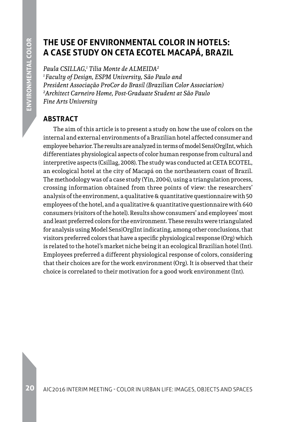# **The Use of Environmental Color in Hotels: A Case Study on Ceta Ecotel Macapá, Brazil**

*Paula CSILLAG,1 Tilia Monte de ALMEIDA2 1 Faculty of Design, ESPM University, São Paulo and President Associação ProCor do Brasil (Brazilian Color Association) 2 Architect Carneiro Home, Post-Graduate Student at São Paulo Fine Arts University* 

#### **ABSTRACT**

The aim of this article is to present a study on how the use of colors on the internal and external environments of a Brazilian hotel affected consumer and employee behavior. The results are analyzed in terms of model Sens|Org|Int, which differentiates physiological aspects of color human response from cultural and interpretive aspects (Csillag, 2008). The study was conducted at CETA ECOTEL, an ecological hotel at the city of Macapá on the northeastern coast of Brazil. The methodology was of a case study (Yin, 2004), using a triangulation process, crossing information obtained from three points of view: the researchers' analysis of the environment, a qualitative & quantitative questionnaire with 50 employees of the hotel, and a qualitative & quantitative questionnaire with 640 consumers (visitors of the hotel). Results show consumers' and employees' most and least preferred colors for the environment. These results were triangulated for analysis using Model Sens|Org|Int indicating, among other conclusions, that visitors preferred colors that have a specific physiological response (Org) which is related to the hotel's market niche being it an ecological Brazilian hotel (Int). Employees preferred a different physiological response of colors, considering that their choices are for the work environment (Org). It is observed that their choice is correlated to their motivation for a good work environment (Int).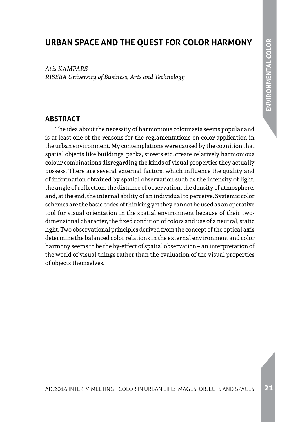## **Urban Space and The Quest for Color Harmony**

*Atis KAMPARS RISEBA University of Business, Arts and Technology*

#### **ABSTRACT**

The idea about the necessity of harmonious colour sets seems popular and is at least one of the reasons for the reglamentations on color application in the urban environment. My contemplations were caused by the cognition that spatial objects like buildings, parks, streets etc. create relatively harmonious colour combinations disregarding the kinds of visual properties they actually possess. There are several external factors, which influence the quality and of information obtained by spatial observation such as the intensity of light, the angle of reflection, the distance of observation, the density of atmosphere, and, at the end, the internal ability of an individual to perceive. Systemic color schemes are the basic codes of thinking yet they cannot be used as an operative tool for visual orientation in the spatial environment because of their twodimensional character, the fixed condition of colors and use of a neutral, static light. Two observational principles derived from the concept of the optical axis determine the balanced color relations in the external environment and color harmony seems to be the by-effect of spatial observation – an interpretation of the world of visual things rather than the evaluation of the visual properties of objects themselves.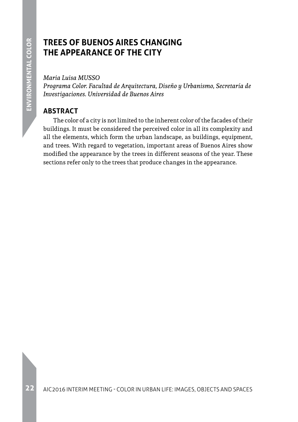# **Trees of Buenos Aires Changing the Appearance of the City**

*Maria Luisa MUSSO* 

*Programa Color. Facultad de Arquitectura, Diseño y Urbanismo, Secretaría de Investigaciones. Universidad de Buenos Aires*

### **ABSTRACT**

The color of a city is not limited to the inherent color of the facades of their buildings. It must be considered the perceived color in all its complexity and all the elements, which form the urban landscape, as buildings, equipment, and trees. With regard to vegetation, important areas of Buenos Aires show modified the appearance by the trees in different seasons of the year. These sections refer only to the trees that produce changes in the appearance.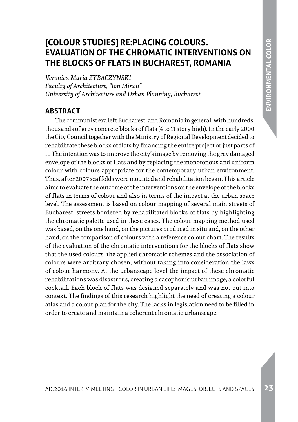# **[Colour Studies] Re:Placing Colours. Evaluation of the Chromatic Interventions on the Blocks of Flats in Bucharest, Romania**

*Veronica Maria ZYBACZYNSKI Faculty of Architecture, "Ion Mincu" University of Architecture and Urban Planning, Bucharest*

### **ABSTRACT**

The communist era left Bucharest, and Romania in general, with hundreds, thousands of grey concrete blocks of flats (4 to 11 story high). In the early 2000 the City Council together with the Ministry of Regional Development decided to rehabilitate these blocks of flats by financing the entire project or just parts of it. The intention was to improve the city's image by removing the grey damaged envelope of the blocks of flats and by replacing the monotonous and uniform colour with colours appropriate for the contemporary urban environment. Thus, after 2007 scaffolds were mounted and rehabilitation began. This article aims to evaluate the outcome of the interventions on the envelope of the blocks of flats in terms of colour and also in terms of the impact at the urban space level. The assessment is based on colour mapping of several main streets of Bucharest, streets bordered by rehabilitated blocks of flats by highlighting the chromatic palette used in these cases. The colour mapping method used was based, on the one hand, on the pictures produced in situ and, on the other hand, on the comparison of colours with a reference colour chart. The results of the evaluation of the chromatic interventions for the blocks of flats show that the used colours, the applied chromatic schemes and the association of colours were arbitrary chosen, without taking into consideration the laws of colour harmony. At the urbanscape level the impact of these chromatic rehabilitations was disastrous, creating a cacophonic urban image, a colorful cocktail. Each block of flats was designed separately and was not put into context. The findings of this research highlight the need of creating a colour atlas and a colour plan for the city. The lacks in legislation need to be filled in order to create and maintain a coherent chromatic urbanscape.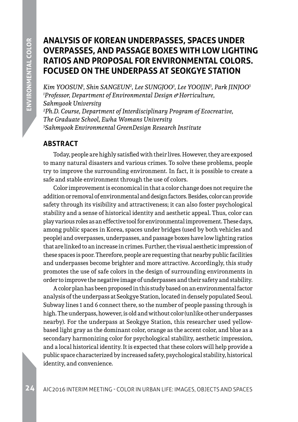**24**

# **Analysis of Korean Underpasses, Spaces under Overpasses, and Passage Boxes with Low Lighting Ratios and Proposal for Environmental Colors. Focused on the Underpass at Seokgye Station**

*Kim YOOSUN1 , Shin SANGEUN2 , Lee SUNGJOO3 , Lee YOOJIN3 , Park JINJOO3 1 Professor, Department of Environmental Design & Horticulture, Sahmyook University 2 Ph.D. Course, Department of Interdisciplinary Program of Ecocreative, The Graduate School, Ewha Womans University 3 Sahmyook Environmental GreenDesign Research Institute*

#### **ABSTRACT**

Today, people are highly satisfied with their lives. However, they are exposed to many natural disasters and various crimes. To solve these problems, people try to improve the surrounding environment. In fact, it is possible to create a safe and stable environment through the use of colors.

Color improvement is economical in that a color change does not require the addition or removal of environmental and design factors. Besides, color can provide safety through its visibility and attractiveness; it can also foster psychological stability and a sense of historical identity and aesthetic appeal. Thus, color can play various roles as an effective tool for environmental improvement. These days, among public spaces in Korea, spaces under bridges (used by both vehicles and people) and overpasses, underpasses, and passage boxes have low lighting ratios that are linked to an increase in crimes. Further, the visual aesthetic impression of these spaces is poor. Therefore, people are requesting that nearby public facilities and underpasses become brighter and more attractive. Accordingly, this study promotes the use of safe colors in the design of surrounding environments in order to improve the negative image of underpasses and their safety and stability.

A color plan has been proposed in this study based on an environmental factor analysis of the underpass at Seokgye Station, located in densely populated Seoul. Subway lines 1 and 6 connect there, so the number of people passing through is high. The underpass, however, is old and without color (unlike other underpasses nearby). For the underpass at Seokgye Station, this researcher used yellowbased light gray as the dominant color, orange as the accent color, and blue as a secondary harmonizing color for psychological stability, aesthetic impression, and a local historical identity. It is expected that these colors will help provide a public space characterized by increased safety, psychological stability, historical identity, and convenience.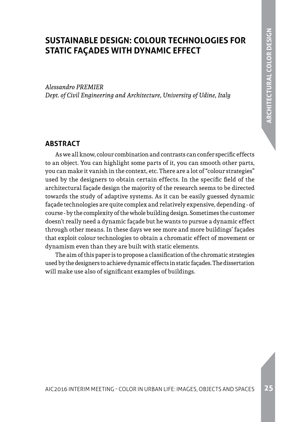# **Sustainable Design: Colour Technologies for Static Façades with Dynamic Effect**

*Alessandro PREMIER Dept. of Civil Engineering and Architecture, University of Udine, Italy*

#### **ABSTRACT**

As we all know, colour combination and contrasts can confer specific effects to an object. You can highlight some parts of it, you can smooth other parts, you can make it vanish in the context, etc. There are a lot of "colour strategies" used by the designers to obtain certain effects. In the specific field of the architectural façade design the majority of the research seems to be directed towards the study of adaptive systems. As it can be easily guessed dynamic façade technologies are quite complex and relatively expensive, depending - of course - by the complexity of the whole building design. Sometimes the customer doesn't really need a dynamic façade but he wants to pursue a dynamic effect through other means. In these days we see more and more buildings' façades that exploit colour technologies to obtain a chromatic effect of movement or dynamism even than they are built with static elements.

The aim of this paper is to propose a classification of the chromatic strategies used by the designers to achieve dynamic effects in static façades. The dissertation will make use also of significant examples of buildings.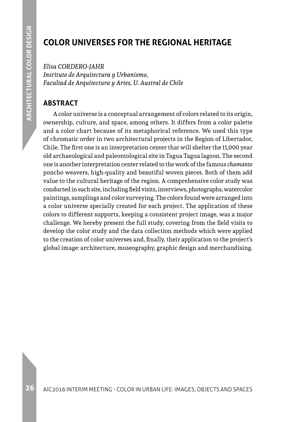# **Color Universes for the Regional Heritage**

*Elisa CORDERO-JAHR Instituto de Arquitectura y Urbanismo, Facultad de Arquitectura y Artes, U. Austral de Chile*

## **ABSTRACT**

A color universe is a conceptual arrangement of colors related to its origin, ownership, culture, and space, among others. It differs from a color palette and a color chart because of its metaphorical reference. We used this type of chromatic order in two architectural projects in the Region of Libertador, Chile. The first one is an interpretation center that will shelter the 11,000 year old archaeological and paleontological site in Tagua Tagua lagoon. The second one is another interpretation center related to the work of the famous *chamanto* poncho weavers, high-quality and beautiful woven pieces. Both of them add value to the cultural heritage of the region. A comprehensive color study was conducted in each site, including field visits, interviews, photographs, watercolor paintings, samplings and color surveying. The colors found were arranged into a color universe specially created for each project. The application of these colors to different supports, keeping a consistent project image, was a major challenge. We hereby present the full study, covering from the field visits to develop the color study and the data collection methods which were applied to the creation of color universes and, finally, their application to the project's global image: architecture, museography, graphic design and merchandising.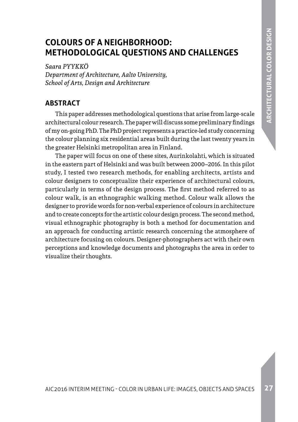# **Colours of a Neighborhood: Methodological Questions and Challenges**

*Saara PYYKKÖ Department of Architecture, Aalto University, School of Arts, Design and Architecture*

## **ABSTRACT**

This paper addresses methodological questions that arise from large-scale architectural colour research. The paper will discuss some preliminary findings of my on-going PhD. The PhD project represents a practice-led study concerning the colour planning six residential areas built during the last twenty years in the greater Helsinki metropolitan area in Finland.

The paper will focus on one of these sites, Aurinkolahti, which is situated in the eastern part of Helsinki and was built between 2000–2016. In this pilot study, I tested two research methods, for enabling architects, artists and colour designers to conceptualize their experience of architectural colours, particularly in terms of the design process. The first method referred to as colour walk, is an ethnographic walking method. Colour walk allows the designer to provide words for non-verbal experience of colours in architecture and to create concepts for the artistic colour design process. The second method, visual ethnographic photography is both a method for documentation and an approach for conducting artistic research concerning the atmosphere of architecture focusing on colours. Designer-photographers act with their own perceptions and knowledge documents and photographs the area in order to visualize their thoughts.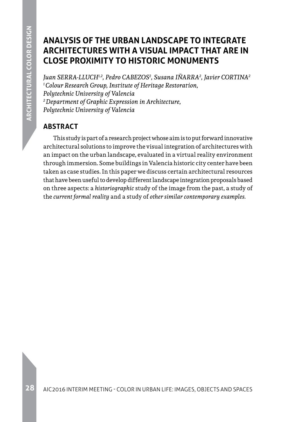# **Analysis of the Urban Landscape to Integrate Architectures with a Visual Impact that are in Close Proximity to Historic Monuments**

*Juan SERRA-LLUCH1,2, Pedro CABEZOS2 , Susana IÑARRA2 , Javier CORTINA2 1 Colour Research Group, Institute of Heritage Restoration, Polytechnic University of Valencia 2 Department of Graphic Expression in Architecture, Polytechnic University of Valencia*

## **ABSTRACT**

This study is part of a research project whose aim is to put forward innovative architectural solutions to improve the visual integration of architectures with an impact on the urban landscape, evaluated in a virtual reality environment through immersion. Some buildings in Valencia historic city center have been taken as case studies. In this paper we discuss certain architectural resources that have been useful to develop different landscape integration proposals based on three aspects: a *historiographic* study of the image from the past, a study of the *current formal reality* and a study of *other similar contemporary examples.*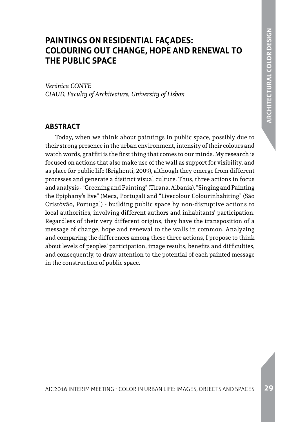# **Paintings on Residential Façades: colouring out change, hope and renewal to the public space**

*Verónica CONTE CIAUD, Faculty of Architecture, University of Lisbon*

#### **ABSTRACT**

Today, when we think about paintings in public space, possibly due to their strong presence in the urban environment, intensity of their colours and watch words, graffiti is the first thing that comes to our minds. My research is focused on actions that also make use of the wall as support for visibility, and as place for public life (Brighenti, 2009), although they emerge from different processes and generate a distinct visual culture. Thus, three actions in focus and analysis - "Greening and Painting" (Tirana, Albania), "Singing and Painting the Epiphany's Eve" (Meca, Portugal) and "Livecolour Colourinhabiting" (São Cristóvão, Portugal) - building public space by non-disruptive actions to local authorities, involving different authors and inhabitants' participation. Regardless of their very different origins, they have the transposition of a message of change, hope and renewal to the walls in common. Analyzing and comparing the differences among these three actions, I propose to think about levels of peoples' participation, image results, benefits and difficulties, and consequently, to draw attention to the potential of each painted message in the construction of public space.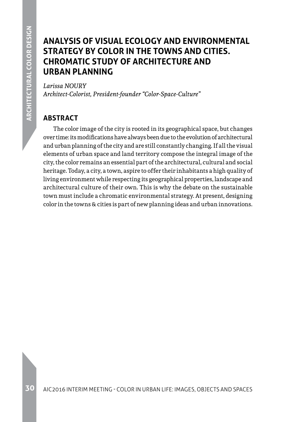# **Analysis of Visual Ecology and Environmental Strategy by Color in the Towns and Cities. Chromatic Study of Architecture and Urban Planning**

*Larissa NOURY Architect-Colorist, President-founder "Color-Space-Culture"* 

## **ABSTRACT**

The color image of the city is rooted in its geographical space, but changes over time: its modifications have always been due to the evolution of architectural and urban planning of the city and are still constantly changing. If all the visual elements of urban space and land territory compose the integral image of the city, the color remains an essential part of the architectural, cultural and social heritage. Today, a city, a town, aspire to offer their inhabitants a high quality of living environment while respecting its geographical properties, landscape and architectural culture of their own. This is why the debate on the sustainable town must include a chromatic environmental strategy. At present, designing color in the towns & cities is part of new planning ideas and urban innovations.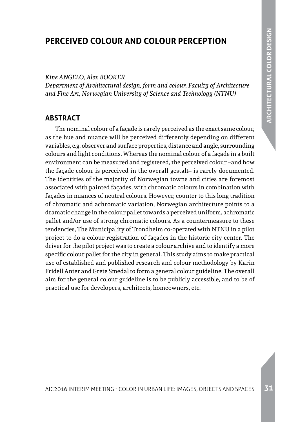# **Perceived Colour and Colour Perception**

#### *Kine ANGELO, Alex BOOKER*

*Department of Architectural design, form and colour, Faculty of Architecture and Fine Art, Norwegian University of Science and Technology (NTNU)*

#### **ABSTRACT**

**ABSTRACT**<br>The nominal colour of a façade is rarely perceived as the exact same colour,<br>sat the hue and nuance will be precived differently depending on different<br>paralleles, e.g. observer and register poperties, distance The nominal colour of a façade is rarely perceived as the exact same colour, as the hue and nuance will be perceived differently depending on different variables, e.g. observer and surface properties, distance and angle, surrounding colours and light conditions. Whereas the nominal colour of a façade in a built environment can be measured and registered, the perceived colour –and how the façade colour is perceived in the overall gestalt– is rarely documented. The identities of the majority of Norwegian towns and cities are foremost associated with painted façades, with chromatic colours in combination with façades in nuances of neutral colours. However, counter to this long tradition of chromatic and achromatic variation, Norwegian architecture points to a dramatic change in the colour pallet towards a perceived uniform, achromatic pallet and/or use of strong chromatic colours. As a countermeasure to these tendencies, The Municipality of Trondheim co-operated with NTNU in a pilot project to do a colour registration of façades in the historic city center. The driver for the pilot project was to create a colour archive and to identify a more specific colour pallet for the city in general. This study aims to make practical use of established and published research and colour methodology by Karin Fridell Anter and Grete Smedal to form a general colour guideline. The overall aim for the general colour guideline is to be publicly accessible, and to be of practical use for developers, architects, homeowners, etc.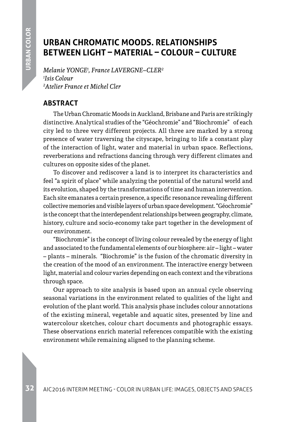# **Urban Chromatic Moods. Relationships Between Light – Material – Colour – Culture**

*Melanie YONGE1 , France LAVERGNE–CLER2 1 Isis Colour 2 Atelier France et Michel Cler*

## **ABSTRACT**

The Urban Chromatic Moods in Auckland, Brisbane and Paris are strikingly distinctive. Analytical studies of the "Géochromie" and "Biochromie" of each city led to three very different projects. All three are marked by a strong presence of water traversing the cityscape, bringing to life a constant play of the interaction of light, water and material in urban space. Reflections, reverberations and refractions dancing through very different climates and cultures on opposite sides of the planet.

To discover and rediscover a land is to interpret its characteristics and feel "a spirit of place" while analyzing the potential of the natural world and its evolution, shaped by the transformations of time and human intervention. Each site emanates a certain presence, a specific resonance revealing different collective memories and visible layers of urban space development. "Géochromie" is the concept that the interdependent relationships between geography, climate, history, culture and socio-economy take part together in the development of our environment.

"Biochromie" is the concept of living colour revealed by the energy of light and associated to the fundamental elements of our biosphere: air – light – water – plants – minerals. "Biochromie" is the fusion of the chromatic diversity in the creation of the mood of an environment. The interactive energy between light, material and colour varies depending on each context and the vibrations through space.

Our approach to site analysis is based upon an annual cycle observing seasonal variations in the environment related to qualities of the light and evolution of the plant world. This analysis phase includes colour annotations of the existing mineral, vegetable and aquatic sites, presented by line and watercolour sketches, colour chart documents and photographic essays. These observations enrich material references compatible with the existing environment while remaining aligned to the planning scheme.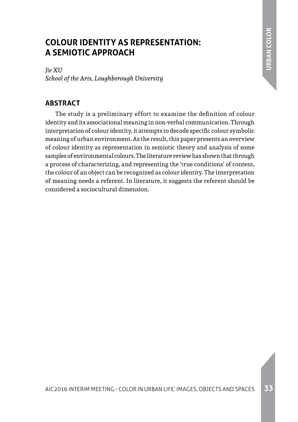# **Colour Identity as Representation: A Semiotic Approach**

*Jie XU School of the Arts, Loughborough University*

### **ABSTRACT**

The study is a preliminary effort to examine the definition of colour identity and its associational meaning in non-verbal communication. Through interpretation of colour identity, it attempts to decode specific colour symbolic meaning of urban environment. As the result, this paper presents an overview of colour identity as representation in semiotic theory and analysis of some samples of environmental colours. The literature review has shown that through a process of characterizing, and representing the 'true conditions' of content, the colour of an object can be recognized as colour identity. The interpretation of meaning needs a referent. In literature, it suggests the referent should be considered a sociocultural dimension.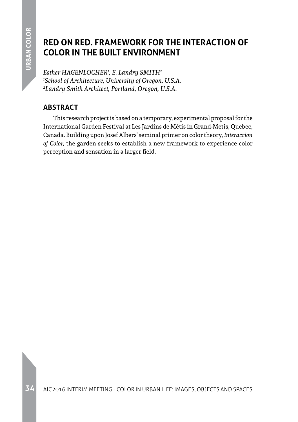# **Red on Red. Framework for the Interaction of Color in the Built Environment**

*Esther HAGENLOCHER1 , E. Landry SMITH2 1 School of Architecture, University of Oregon, U.S.A. 2 Landry Smith Architect, Portland, Oregon, U.S.A.*

# **ABSTRACT**

This research project is based on a temporary, experimental proposal for the International Garden Festival at Les Jardins de Métis in Grand-Metis, Quebec, Canada. Building upon Josef Albers' seminal primer on color theory, *Interaction of Color,* the garden seeks to establish a new framework to experience color perception and sensation in a larger field.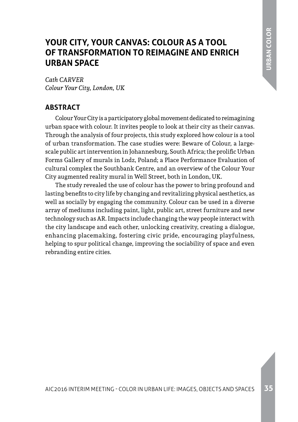# **Your City, Your Canvas: Colour As a Tool of Transformation to Reimagine and Enrich Urban Space**

*Cath CARVER Colour Your City, London, UK*

### **ABSTRACT**

Colour Your City is a participatory global movement dedicated to reimagining urban space with colour. It invites people to look at their city as their canvas. Through the analysis of four projects, this study explored how colour is a tool of urban transformation. The case studies were: Beware of Colour, a largescale public art intervention in Johannesburg, South Africa; the prolific Urban Forms Gallery of murals in Lodz, Poland; a Place Performance Evaluation of cultural complex the Southbank Centre, and an overview of the Colour Your City augmented reality mural in Well Street, both in London, UK.

The study revealed the use of colour has the power to bring profound and lasting benefits to city life by changing and revitalizing physical aesthetics, as well as socially by engaging the community. Colour can be used in a diverse array of mediums including paint, light, public art, street furniture and new technology such as AR. Impacts include changing the way people interact with the city landscape and each other, unlocking creativity, creating a dialogue, enhancing placemaking, fostering civic pride, encouraging playfulness, helping to spur political change, improving the sociability of space and even rebranding entire cities.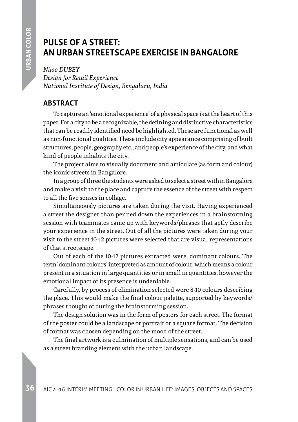## **Pulse of a Street: An Urban Streetscape Exercise in Bangalore**

*Nijoo DUBEY Design for Retail Experience National Institute of Design, Bengaluru, India*

#### **ABSTRACT**

To capture an 'emotional experience' of a physical space is at the heart of this paper. For a city to be a recognizable, the defining and distinctive characteristics that can be readily identified need be highlighted. These are functional as well as non-functional qualities. These include city appearance comprising of built structures, people, geography etc., and people's experience of the city, and what kind of people inhabits the city.

The project aims to visually document and articulate (as form and colour) the iconic streets in Bangalore.

In a group of three the students were asked to select a street within Bangalore and make a visit to the place and capture the essence of the street with respect to all the five senses in collage.

Simultaneously pictures are taken during the visit. Having experienced a street the designer than penned down the experiences in a brainstorming session with teammates came up with keywords/phrases that aptly describe your experience in the street. Out of all the pictures were taken during your visit to the street 10-12 pictures were selected that are visual representations of that streetscape.

Out of each of the 10-12 pictures extracted were, dominant colours. The term 'dominant colours' interpreted as amount of colour, which means a colour present in a situation in large quantities or in small in quantities, however the emotional impact of its presence is undeniable.

Carefully, by process of elimination selected were 8-10 colours describing the place. This would make the final colour palette, supported by keywords/ phrases thought of during the brainstorming session.

The design solution was in the form of posters for each street. The format of the poster could be a landscape or portrait or a square format. The decision of format was chosen depending on the mood of the street.

The final artwork is a culmination of multiple sensations, and can be used as a street branding element with the urban landscape.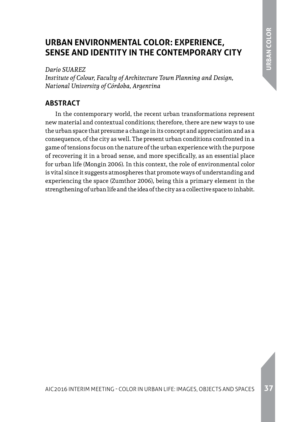### **Urban Environmental Color: Experience, Sense and Identity in the Contemporary City**

*Darío SUAREZ Institute of Colour, Faculty of Architecture Town Planning and Design, National University of Córdoba, Argentina*

### **ABSTRACT**

In the contemporary world, the recent urban transformations represent new material and contextual conditions; therefore, there are new ways to use the urban space that presume a change in its concept and appreciation and as a consequence, of the city as well. The present urban conditions confronted in a game of tensions focus on the nature of the urban experience with the purpose of recovering it in a broad sense, and more specifically, as an essential place for urban life (Mongin 2006). In this context, the role of environmental color is vital since it suggests atmospheres that promote ways of understanding and experiencing the space (Zumthor 2006), being this a primary element in the strengthening of urban life and the idea of the city as a collective space to inhabit.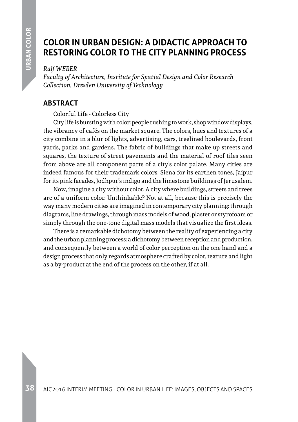### **Color in Urban Design: A Didactic Approach to Restoring Color to the City Planning Process**

#### *Ralf WEBER*

*Faculty of Architecture, Institute for Spatial Design and Color Research Collection, Dresden University of Technology*

#### **ABSTRACT**

Colorful Life - Colorless City

City life is bursting with color: people rushing to work, shop window displays, the vibrancy of cafés on the market square. The colors, hues and textures of a city combine in a blur of lights, advertising, cars, treelined boulevards, front yards, parks and gardens. The fabric of buildings that make up streets and squares, the texture of street pavements and the material of roof tiles seen from above are all component parts of a city's color palate. Many cities are indeed famous for their trademark colors: Siena for its earthen tones, Jaipur for its pink facades, Jodhpur's indigo and the limestone buildings of Jerusalem.

Now, imagine a city without color. A city where buildings, streets and trees are of a uniform color. Unthinkable? Not at all, because this is precisely the way many modern cities are imagined in contemporary city planning: through diagrams, line drawings, through mass models of wood, plaster or styrofoam or simply through the one-tone digital mass models that visualize the first ideas.

There is a remarkable dichotomy between the reality of experiencing a city and the urban planning process: a dichotomy between reception and production, and consequently between a world of color perception on the one hand and a design process that only regards atmosphere crafted by color, texture and light as a by-product at the end of the process on the other, if at all.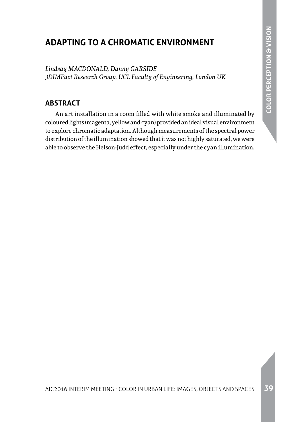## **Adapting to a Chromatic Environment**

*Lindsay MACDONALD, Danny GARSIDE 3DIMPact Research Group, UCL Faculty of Engineering, London UK*

### **ABSTRACT**

An art installation in a room filled with white smoke and illuminated by coloured lights (magenta, yellow and cyan) provided an ideal visual environment to explore chromatic adaptation. Although measurements of the spectral power distribution of the illumination showed that it was not highly saturated, we were able to observe the Helson-Judd effect, especially under the cyan illumination.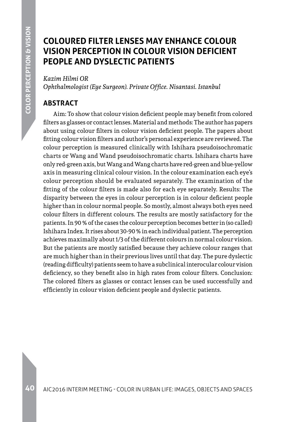## **Coloured Filter Lenses May Enhance Colour Vision Perception in Colour Vision Deficient People and Dyslectic Patients**

*Kazim Hilmi OR*

*Ophthalmologist (Eye Surgeon). Private Office. Nisantasi. Istanbul*

### **ABSTRACT**

Aim: To show that colour vision deficient people may benefit from colored filters as glasses or contact lenses. Material and methods: The author has papers about using colour filters in colour vision deficient people. The papers about fitting colour vision filters and author's personal experience are reviewed. The colour perception is measured clinically with Ishihara pseudoisochromatic charts or Wang and Wand pseudoisochromatic charts. Ishihara charts have only red-green axis, but Wang and Wang charts have red-green and blue-yellow axis in measuring clinical colour vision. In the colour examination each eye's colour perception should be evaluated separately. The examination of the fitting of the colour filters is made also for each eye separately. Results: The disparity between the eyes in colour perception is in colour deficient people higher than in colour normal people. So mostly, almost always both eyes need colour filters in different colours. The results are mostly satisfactory for the patients. In 90 % of the cases the colour perception becomes better in (so called) Ishihara Index. It rises about 30-90 % in each individual patient. The perception achieves maximally about 1/3 of the different colours in normal colour vision. But the patients are mostly satisfied because they achieve colour ranges that are much higher than in their previous lives until that day. The pure dyslectic (reading difficulty) patients seem to have a subclinical interocular colour vision deficiency, so they benefit also in high rates from colour filters. Conclusion: The colored filters as glasses or contact lenses can be used successfully and efficiently in colour vision deficient people and dyslectic patients.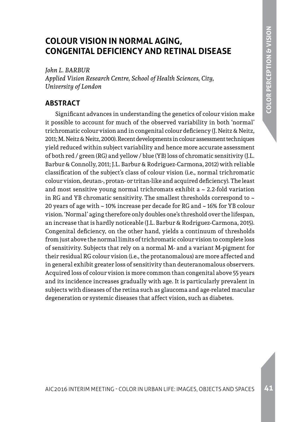### **Colour Vision in Normal Aging, Congenital Deficiency and Retinal Disease**

*John L. BARBUR*

*Applied Vision Research Centre, School of Health Sciences, City, University of London*

#### **ABSTRACT**

Significant advances in understanding the genetics of colour vision make it possible to account for much of the observed variability in both 'normal' trichromatic colour vision and in congenital colour deficiency (J. Neitz & Neitz, 2011; M. Neitz & Neitz, 2000). Recent developments in colour assessment techniques yield reduced within subject variability and hence more accurate assessment of both red / green (RG) and yellow / blue (YB) loss of chromatic sensitivity (J.L. Barbur & Connolly, 2011; J.L. Barbur & Rodriguez-Carmona, 2012) with reliable classification of the subject's class of colour vision (i.e., normal trichromatic colour vision, deutan-, protan- or tritan-like and acquired deficiency). The least and most sensitive young normal trichromats exhibit a  $\sim$  2.2-fold variation in RG and YB chromatic sensitivity. The smallest thresholds correspond to  $\sim$ 20 years of age with ~ 10% increase per decade for RG and ~ 16% for YB colour vision. 'Normal' aging therefore only doubles one's threshold over the lifespan, an increase that is hardly noticeable (J.L. Barbur & Rodriguez-Carmona, 2015). Congenital deficiency, on the other hand, yields a continuum of thresholds from just above the normal limits of trichromatic colour vision to complete loss of sensitivity. Subjects that rely on a normal M- and a variant M-pigment for their residual RG colour vision (i.e., the protanomalous) are more affected and in general exhibit greater loss of sensitivity than deuteranomalous observers. Acquired loss of colour vision is more common than congenital above 55 years and its incidence increases gradually with age. It is particularly prevalent in subjects with diseases of the retina such as glaucoma and age-related macular degeneration or systemic diseases that affect vision, such as diabetes.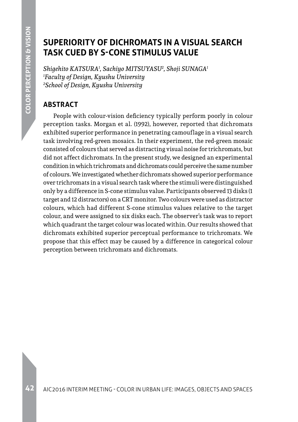## **Superiority of Dichromats in a Visual Search Task Cued by S-cone Stimulus Value**

*Shigehito KATSURA1 , Sachiyo MITSUYASU2 , Shoji SUNAGA1 1 Faculty of Design, Kyushu University 2 School of Design, Kyushu University*

### **ABSTRACT**

People with colour-vision deficiency typically perform poorly in colour perception tasks. Morgan et al. (1992), however, reported that dichromats exhibited superior performance in penetrating camouf lage in a visual search task involving red-green mosaics. In their experiment, the red-green mosaic consisted of colours that served as distracting visual noise for trichromats, but did not affect dichromats. In the present study, we designed an experimental condition in which trichromats and dichromats could perceive the same number of colours. We investigated whether dichromats showed superior performance over trichromats in a visual search task where the stimuli were distinguished only by a difference in S-cone stimulus value. Participants observed 13 disks (1 target and 12 distractors) on a CRT monitor. Two colours were used as distractor colours, which had different S-cone stimulus values relative to the target colour, and were assigned to six disks each. The observer's task was to report which quadrant the target colour was located within. Our results showed that dichromats exhibited superior perceptual performance to trichromats. We propose that this effect may be caused by a difference in categorical colour perception between trichromats and dichromats.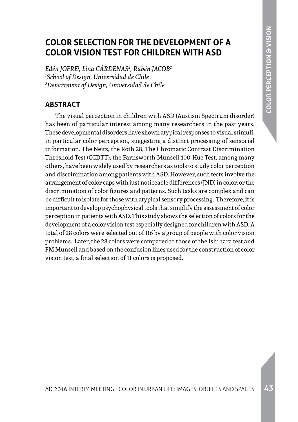### **Color Selection for the Development of a Color Vision Test for children with ASD**

*Edén JOFRE1 , Lina CÁRDENAS2 , Rubén JACOB2 1 School of Design, Universidad de Chile 2 Department of Design, Universidad de Chile*

### **ABSTRACT**

School of Destign, Universidad ac Chile<br>
School of Destign, Universidad de Chile<br>
The visual perception in children with ASD (Austism Spectrum disorder)<br>
The visual perception in children with ASD (Austism Spectrum disorde The visual perception in children with ASD (Austism Spectrum disorder) has been of particular interest among many researchers in the past years. These developmental disorders have shown atypical responses to visual stimuli, in particular color perception, suggesting a distinct processing of sensorial information. The Neitz, the Roth 28, The Chromatic Contrast Discrimination Threshold Test (CCDTT), the Farnsworth-Munsell 100-Hue Test, among many others, have been widely used by researchers as tools to study color perception and discrimination among patients with ASD. However, such tests involve the arrangement of color caps with just noticeable differences (JND) in color, or the discrimination of color figures and patterns. Such tasks are complex and can be difficult to isolate for those with atypical sensory processing. Therefore, it is important to develop psychophysical tools that simplify the assessment of color perception in patients with ASD. This study shows the selection of colors for the development of a color vision test especially designed for children with ASD. A total of 28 colors were selected out of 116 by a group of people with color vision problems. Later, the 28 colors were compared to those of the Ishihara test and FM Munsell and based on the confusion lines used for the construction of color vision test, a final selection of 11 colors is proposed.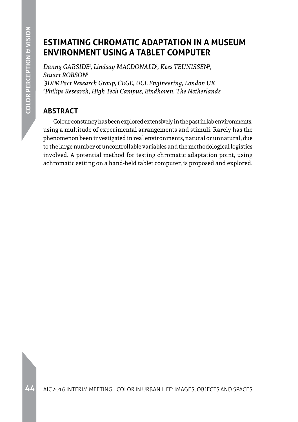### **Estimating Chromatic Adaptation in a Museum Environment Using a Tablet Computer**

*Danny GARSIDE1 , Lindsay MACDONALD1 , Kees TEUNISSEN2 , Stuart ROBSON1 1 3DIMPact Research Group, CEGE, UCL Engineering, London UK 2 Philips Research, High Tech Campus, Eindhoven, The Netherlands*

### **ABSTRACT**

Colour constancy has been explored extensively in the past in lab environments, using a multitude of experimental arrangements and stimuli. Rarely has the phenomenon been investigated in real environments, natural or unnatural, due to the large number of uncontrollable variables and the methodological logistics involved. A potential method for testing chromatic adaptation point, using achromatic setting on a hand-held tablet computer, is proposed and explored.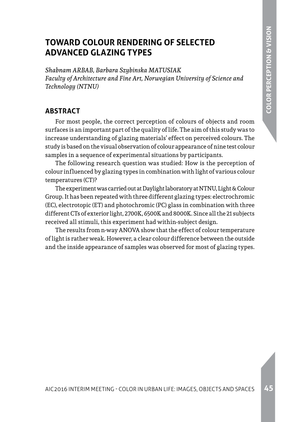### **Toward Colour Rendering of Selected Advanced Glazing Types**

*Shabnam ARBAB, Barbara Szybinska MATUSIAK Faculty of Architecture and Fine Art, Norwegian University of Science and Technology (NTNU)*

#### **ABSTRACT**

For most people, the correct perception of colours of objects and room surfaces is an important part of the quality of life. The aim of this study was to increase understanding of glazing materials' effect on perceived colours. The study is based on the visual observation of colour appearance of nine test colour samples in a sequence of experimental situations by participants.

The following research question was studied: How is the perception of colour inf luenced by glazing types in combination with light of various colour temperatures (CT)?

Solution A Hoosto, buttonial assessment Christmas Christmas Christmas (Feelingtof Architecture and Fine Art, Norwegian University of Science and Technology (NTNU) and Technology (NTNU) and the correct perception of colours The experiment was carried out at Daylight laboratory at NTNU, Light & Colour Group. It has been repeated with three different glazing types: electrochromic (EC), electrotopic (ET) and photochromic (PC) glass in combination with three different CTs of exterior light, 2700K, 6500K and 8000K. Since all the 21 subjects received all stimuli, this experiment had within-subject design.

The results from n-way ANOVA show that the effect of colour temperature of light is rather weak. However, a clear colour difference between the outside and the inside appearance of samples was observed for most of glazing types.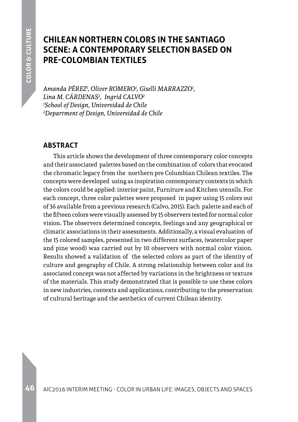### **Chilean Northern Colors in the Santiago Scene: A Contemporary Selection Based on pre-Colombian Textiles**

*Amanda PÉREZ1 , Oliver ROMERO1 , Giselli MARRAZZO1 , Lina M. CÁRDENAS2 , Ingrid CALVO2 1 School of Design, Universidad de Chile 2 Department of Design, Universidad de Chile*

#### **ABSTRACT**

**46** PRE-COLOMBIAN TEXTILES<br>
Annanda PÉRIEZ, Oliver ROMERO, Giselli MARRAZZO',<br>
15 Annanda PÉRIEZ, Oliver ROMERO, Giselli MARRAZZO',<br>
15 School of Design, Universidad de Chile<br>
<sup>32</sup> Department of Design, Universidad de Chi This article shows the development of three contemporary color concepts and their associated palettes based on the combination of colors that evocated the chromatic legacy from the northern pre Columbian Chilean textiles. The concepts were developed using as inspiration contemporary contexts in which the colors could be applied: interior paint, Furniture and Kitchen utensils. For each concept, three color palettes were proposed in paper using 15 colors out of 36 available from a previous research (Calvo, 2015). Each palette and each of the fifteen colors were visually assessed by 15 observers tested for normal color vision. The observers determined concepts, feelings and any geographical or climatic associations in their assessments. Additionally, a visual evaluation of the 15 colored samples, presented in two different surfaces, (watercolor paper and pine wood) was carried out by 10 observers with normal color vision. Results showed a validation of the selected colors as part of the identity of culture and geography of Chile. A strong relationship between color and its associated concept was not affected by variations in the brightness or texture of the materials. This study demonstrated that is possible to use these colors in new industries, contexts and applications, contributing to the preservation of cultural heritage and the aesthetics of current Chilean identity.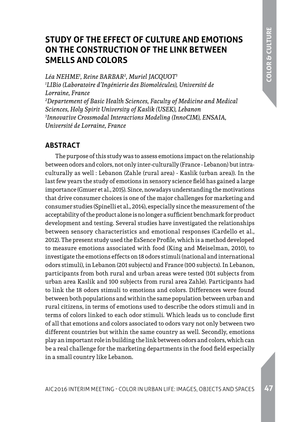## **Study of the Effect of Culture and Emotions on the Construction of the Link between Smells and Colors**

*Léa NEHME1 , Reine BARBAR2 , Muriel JACQUOT3 1 LIBio (Laboratoire d'Ingénierie des Biomolécules), Université de Lorraine, France 2 Departement of Basic Health Sciences, Faculty of Medicine and Medical Sciences, Holy Spirit University of Kaslik (USEK), Lebanon 3 Innovative Crossmodal Interactions Modeling (InnoCIM), ENSAIA, Université de Lorraine, France* 

#### **ABSTRACT**

**Leta CNET AND COLORS**<br>
Leta NEHME, Reine BARBAR<sup>y</sup>, Muriel (ACQUOT<sup>)</sup><br>
LEDEN (Leboratorie d'Ingénierie des Biomolecules), Université de<br>
Leoraine, France<br>
Leoraine, France<br>
Leoraine, France<br>
Leoraine, France<br>
Leoraine, F The purpose of this study was to assess emotions impact on the relationship between odors and colors, not only inter-culturally (France - Lebanon) but intraculturally as well : Lebanon (Zahle (rural area) - Kaslik (urban area)). In the last few years the study of emotions in sensory science field has gained a large importance (Gmuer et al., 2015). Since, nowadays understanding the motivations that drive consumer choices is one of the major challenges for marketing and consumer studies (Spinelli et al., 2014), especially since the measurement of the acceptability of the product alone is no longer a sufficient benchmark for product development and testing. Several studies have investigated the relationships between sensory characteristics and emotional responses (Cardello et al., 2012). The present study used the EsSence Profile, which is a method developed to measure emotions associated with food (King and Meiselman, 2010), to investigate the emotions effects on 18 odors stimuli (national and international odors stimuli), in Lebanon (201 subjects) and France (100 subjects). In Lebanon, participants from both rural and urban areas were tested (101 subjects from urban area Kaslik and 100 subjects from rural area Zahle). Participants had to link the 18 odors stimuli to emotions and colors. Differences were found between both populations and within the same population between urban and rural citizens, in terms of emotions used to describe the odors stimuli and in terms of colors linked to each odor stimuli. Which leads us to conclude first of all that emotions and colors associated to odors vary not only between two different countries but within the same country as well. Secondly, emotions play an important role in building the link between odors and colors, which can be a real challenge for the marketing departments in the food field especially in a small country like Lebanon.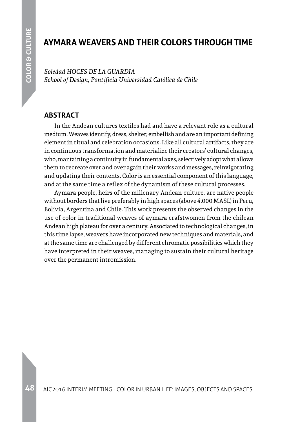### **Aymara Weavers and their Colors through Time**

*Soledad HOCES DE LA GUARDIA School of Design, Pontificia Universidad Católica de Chile*

#### **ABSTRACT**

In the Andean cultures textiles had and have a relevant role as a cultural medium. Weaves identify, dress, shelter, embellish and are an important defining element in ritual and celebration occasions. Like all cultural artifacts, they are in continuous transformation and materialize their creators' cultural changes, who, mantaining a continuity in fundamental axes, selectively adopt what allows them to recreate over and over again their works and messages, reinvigorating and updating their contents. Color is an essential component of this language, and at the same time a reflex of the dynamism of these cultural processes.

Aymara people, heirs of the millenary Andean culture, are native people without borders that live preferably in high spaces (above 4.000 MASL) in Peru, Bolivia, Argentina and Chile. This work presents the observed changes in the use of color in traditional weaves of aymara crafstwomen from the chilean Andean high plateau for over a century. Associated to technological changes, in this time lapse, weavers have incorporated new techniques and materials, and at the same time are challenged by different chromatic possibilities which they have interpreted in their weaves, managing to sustain their cultural heritage over the permanent intromission.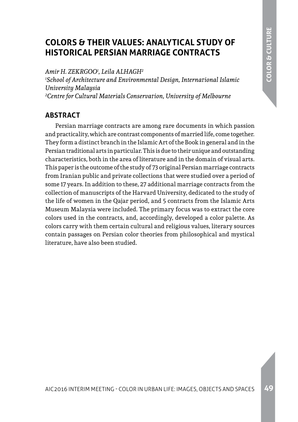## **Colors & Their Values: Analytical Study of Historical Persian Marriage Contracts**

*Amir H. ZEKRGOO1 , Leila ALHAGH2 1 School of Architecture and Environmental Design, International Islamic University Malaysia 2 Centre for Cultural Materials Conservation, University of Melbourne*

#### **ABSTRACT**

Any interaction and the action of the angle of the state of School of Architecture and Embromental Design, International Islamic Christensity Malaysia<br>
University Malaysia<br>
University Malaysia<br>
Christensity Malaysia<br>
Chris Persian marriage contracts are among rare documents in which passion and practicality, which are contrast components of married life, come together. They form a distinct branch in the Islamic Art of the Book in general and in the Persian traditional arts in particular. This is due to their unique and outstanding characteristics, both in the area of literature and in the domain of visual arts. This paper is the outcome of the study of 73 original Persian marriage contracts from Iranian public and private collections that were studied over a period of some 17 years. In addition to these, 27 additional marriage contracts from the collection of manuscripts of the Harvard University, dedicated to the study of the life of women in the Qajar period, and 5 contracts from the Islamic Arts Museum Malaysia were included. The primary focus was to extract the core colors used in the contracts, and, accordingly, developed a color palette. As colors carry with them certain cultural and religious values, literary sources contain passages on Persian color theories from philosophical and mystical literature, have also been studied.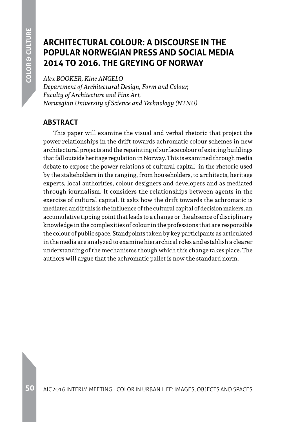### **Architectural Colour: a Discourse in the Popular Norwegian Press and Social Media 2014 to 2016. The Greying of Norway**

*Alex BOOKER, Kine ANGELO*

*Department of Architectural Design, Form and Colour, Faculty of Architecture and Fine Art, Norwegian University of Science and Technology (NTNU)*

### **ABSTRACT**

**50** AIC2016 INTERIM MEETING - COLOR IN URBAN LIFE: IMAGES, OBJECTS AND SPACES **COLOR &**  This paper will examine the visual and verbal rhetoric that project the power relationships in the drift towards achromatic colour schemes in new architectural projects and the repainting of surface colour of existing buildings that fall outside heritage regulation in Norway. This is examined through media debate to expose the power relations of cultural capital in the rhetoric used by the stakeholders in the ranging, from householders, to architects, heritage experts, local authorities, colour designers and developers and as mediated through journalism. It considers the relationships between agents in the exercise of cultural capital. It asks how the drift towards the achromatic is mediated and if this is the influence of the cultural capital of decision makers, an accumulative tipping point that leads to a change or the absence of disciplinary knowledge in the complexities of colour in the professions that are responsible the colour of public space. Standpoints taken by key participants as articulated in the media are analyzed to examine hierarchical roles and establish a clearer understanding of the mechanisms though which this change takes place. The authors will argue that the achromatic pallet is now the standard norm.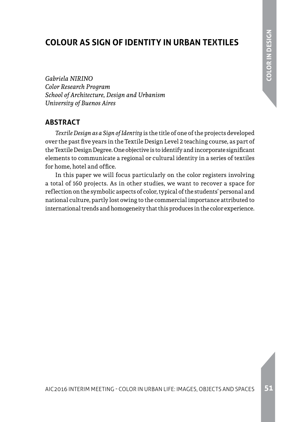# **Colour as sign of identity in urban textiles**

*Gabriela NIRINO Color Research Program School of Architecture, Design and Urbanism University of Buenos Aires*

#### **ABSTRACT**

Cabriela NIRINO<br>
Color Research Properam<br>
School of Architecture, Design and Urbanism<br>
University of Buenos Aires<br>
MeSTRACT<br>
Textile Design as a Sign of Identity is the title of one of the projects developed<br>
the Textile D *Textile Design as a Sign of Identity* is the title of one of the projects developed over the past five years in the Textile Design Level 2 teaching course, as part of the Textile Design Degree. One objective is to identify and incorporate significant elements to communicate a regional or cultural identity in a series of textiles for home, hotel and office.

In this paper we will focus particularly on the color registers involving a total of 160 projects. As in other studies, we want to recover a space for reflection on the symbolic aspects of color, typical of the students' personal and national culture, partly lost owing to the commercial importance attributed to international trends and homogeneity that this produces in the color experience.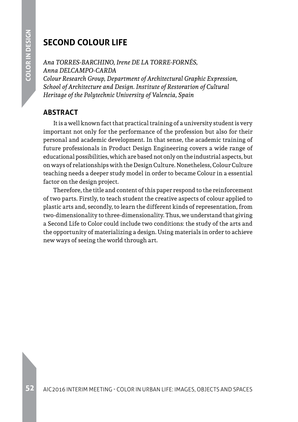## **Second Colour Life**

*Ana TORRES-BARCHINO, Irene DE LA TORRE-FORNÉS, Anna DELCAMPO-CARDA*

*Colour Research Group, Department of Architectural Graphic Expression, School of Architecture and Design. Institute of Restoration of Cultural Heritage of the Polytechnic University of Valencia, Spain*

#### **ABSTRACT**

 $\frac{22}{1000}$ Ana TORRES-BARCHINO. Irene DE LA TORRE-FORNES,<br>
Colour Research Group, Department of Architectural Graphic Expression,<br>
Colour Research Group, Department of Architectural Graphic Expression,<br>
School of Archi It is a well known fact that practical training of a university student is very important not only for the performance of the profession but also for their personal and academic development. In that sense, the academic training of future professionals in Product Design Engineering covers a wide range of educational possibilities, which are based not only on the industrial aspects, but on ways of relationships with the Design Culture. Nonetheless, Colour Culture teaching needs a deeper study model in order to became Colour in a essential factor on the design project.

Therefore, the title and content of this paper respond to the reinforcement of two parts. Firstly, to teach student the creative aspects of colour applied to plastic arts and, secondly, to learn the different kinds of representation, from two-dimensionality to three-dimensionality. Thus, we understand that giving a Second Life to Color could include two conditions: the study of the arts and the opportunity of materializing a design. Using materials in order to achieve new ways of seeing the world through art.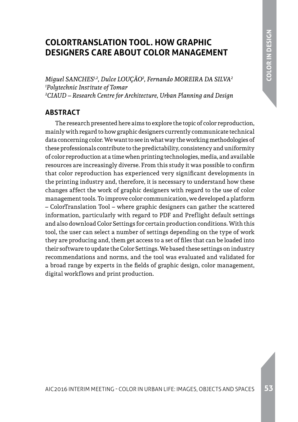## **ColorTranslation Tool. How Graphic Designers Care About Color Management**

*Miguel SANCHES1,2, Dulce LOUÇÃO2 , Fernando MOREIRA DA SILVA2 1 Polytechnic Institute of Tomar 2 CIAUD – Research Centre for Architecture, Urban Planning and Design*

### **ABSTRACT**

**LAGATION COLOR MANAGEMENT EXPRESS**<br>
Miguel SANCHES<sup>14</sup>, Dulce LOUGÃO<sup>2</sup>, Fernando MOREIRA DA SILVA<sup>2</sup><br>
Felguerbnie Institute of Tomar<br> **CELAUD** – Research presented here aims to explore the topic of color reproduction,<br> The research presented here aims to explore the topic of color reproduction, mainly with regard to how graphic designers currently communicate technical data concerning color. We want to see in what way the working methodologies of these professionals contribute to the predictability, consistency and uniformity of color reproduction at a time when printing technologies, media, and available resources are increasingly diverse. From this study it was possible to confirm that color reproduction has experienced very significant developments in the printing industry and, therefore, it is necessary to understand how these changes affect the work of graphic designers with regard to the use of color management tools. To improve color communication, we developed a platform – ColorTranslation Tool – where graphic designers can gather the scattered information, particularly with regard to PDF and Preflight default settings and also download Color Settings for certain production conditions. With this tool, the user can select a number of settings depending on the type of work they are producing and, them get access to a set of files that can be loaded into their software to update the Color Settings. We based these settings on industry recommendations and norms, and the tool was evaluated and validated for a broad range by experts in the fields of graphic design, color management, digital workflows and print production.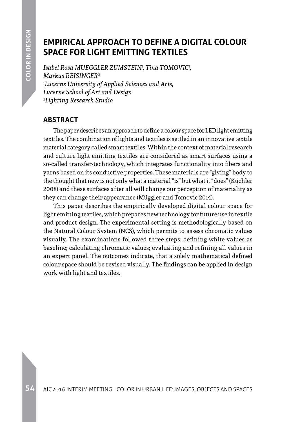### **Empirical Approach to Define a Digital Colour Space for Light Emitting Textiles**

*Isabel Rosa MUEGGLER ZUMSTEIN1 , Tina TOMOVIC1 , Markus REISINGER2 1 Lucerne University of Applied Sciences and Arts, Lucerne School of Art and Design 2 Lighting Research Studio*

#### **ABSTRACT**

**544** AICH CON CIGHTT EPHIT TING TEATLES<br>
Fraceric Uniterastic SER ZUMSTEEIN, Tina TOMOVIC,<br> *Harenee School of Art and Design*<br> *Lucerne School of Art and Design*<br> *Lucerne School of Art and Design*<br> *Lucerne School of A* The paper describes an approach to define a colour space for LED light emitting textiles. The combination of lights and textiles is settled in an innovative textile material category called smart textiles. Within the context of material research and culture light emitting textiles are considered as smart surfaces using a so-called transfer-technology, which integrates functionality into fibers and yarns based on its conductive properties. These materials are "giving" body to the thought that new is not only what a material "is" but what it "does" (Küchler 2008) and these surfaces after all will change our perception of materiality as they can change their appearance (Müggler and Tomovic 2014).

This paper describes the empirically developed digital colour space for light emitting textiles, which prepares new technology for future use in textile and product design. The experimental setting is methodologically based on the Natural Colour System (NCS), which permits to assess chromatic values visually. The examinations followed three steps: defining white values as baseline; calculating chromatic values; evaluating and refining all values in an expert panel. The outcomes indicate, that a solely mathematical defined colour space should be revised visually. The findings can be applied in design work with light and textiles.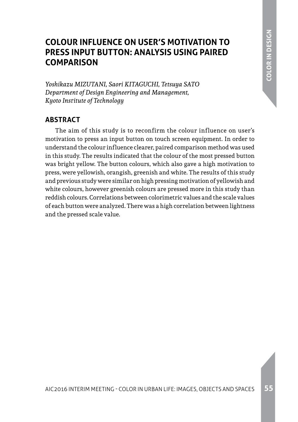## **Colour Influence on User's Motivation to Press Input Button: Analysis Using Paired Comparison**

*Yoshikazu MIZUTANI, Saori KITAGUCHI, Tetsuya SATO Department of Design Engineering and Management, Kyoto Institute of Technology*

### **ABSTRACT**

**COMPARISON**<br> **COMPARISON**<br> **COMPARISON**<br> **COMPARISON**<br> **CONDENTANT**<br> **CONDENTANT**<br> **CONDENTANT**<br> **CONDENTANT**<br> **CONDENTANT**<br> **CONDENTANT**<br> **CONDENTANT**<br> **CONDENTANT**<br> **CONDENTANT**<br> **CONDENTANT**<br> **CONDENTANT**<br> **CONDENTANT** The aim of this study is to reconfirm the colour influence on user's motivation to press an input button on touch screen equipment. In order to understand the colour influence clearer, paired comparison method was used in this study. The results indicated that the colour of the most pressed button was bright yellow. The button colours, which also gave a high motivation to press, were yellowish, orangish, greenish and white. The results of this study and previous study were similar on high pressing motivation of yellowish and white colours, however greenish colours are pressed more in this study than reddish colours. Correlations between colorimetric values and the scale values of each button were analyzed. There was a high correlation between lightness and the pressed scale value.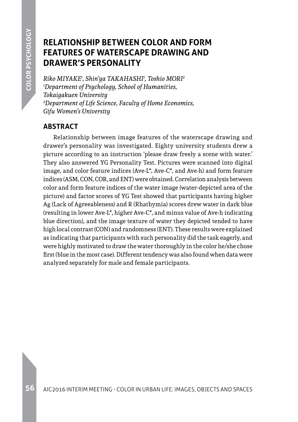## **Relationship between Color and Form Features of Waterscape Drawing and Drawer's Personality**

*Riko MIYAKE1 , Shin'ya TAKAHASHI1 , Toshio MORI2 1 Department of Psychology, School of Humanities, Tokaigakuen University 2 Department of Life Science, Faculty of Home Economics, Gifu Women's University*

### **ABSTRACT**

Relationship between image features of the waterscape drawing and drawer's personality was investigated. Eighty university students drew a picture according to an instruction 'please draw freely a scene with water.' They also answered YG Personality Test. Pictures were scanned into digital image, and color feature indices (Ave-L\*, Ave-C\*, and Ave-h) and form feature indices (ASM, CON, COR, and ENT) were obtained. Correlation analysis between color and form feature indices of the water image (water-depicted area of the picture) and factor scores of YG Test showed that participants having higher Ag (Lack of Agreeableness) and R (Rhathymia) scores drew water in dark blue (resulting in lower Ave-L\*, higher Ave-C\*, and minus value of Ave-h indicating blue direction), and the image texture of water they depicted tended to have high local contrast (CON) and randomness (ENT). These results were explained as indicating that participants with such personality did the task eagerly, and were highly motivated to draw the water thoroughly in the color he/she chose first (blue in the most case). Different tendency was also found when data were analyzed separately for male and female participants.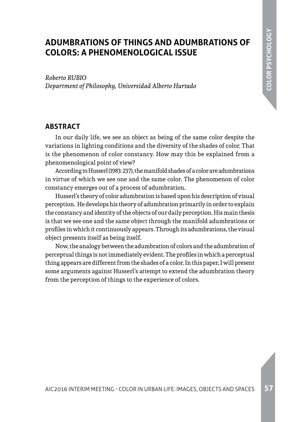## **Adumbrations of Things and Adumbrations of Colors: A Phenomenological Issue**

*Roberto RUBIO Department of Philosophy, Universidad Alberto Hurtado*

#### **ABSTRACT**

In our daily life, we see an object as being of the same color despite the variations in lighting conditions and the diversity of the shades of color. That is the phenomenon of color constancy. How may this be explained from a phenomenological point of view?

According to Husserl (1983: 237), the manifold shades of a color are adumbrations in virtue of which we see one and the same color. The phenomenon of color constancy emerges out of a process of adumbration.

Roberto RUBIO<br>
Repartment of Philosophy, Universidad Alberto Hurtado<br>
Department of Philosophy, Universidad Alberto Hurtado<br>
variations in lighting conditions and the diversity of the shanes clocor. Then<br>
it is the phenome Husserl's theory of color adumbration is based upon his description of visual perception. He develops his theory of adumbration primarily in order to explain the constancy and identity of the objects of our daily perception. His main thesis is that we see one and the same object through the manifold adumbrations or profiles in which it continuously appears. Through its adumbrations, the visual object presents itself as being itself.

Now, the analogy between the adumbration of colors and the adumbration of perceptual things is not immediately evident. The profiles in which a perceptual thing appears are different from the shades of a color. In this paper, I will present some arguments against Husserl's attempt to extend the adumbration theory from the perception of things to the experience of colors.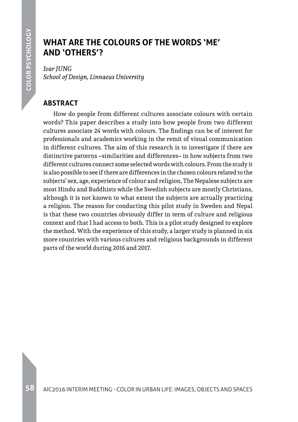### **What are the Colours of the Words 'Me' and 'Others'?**

*Ivar JUNG School of Design, Linnaeus University* 

#### **ABSTRACT**

How do people from different cultures associate colours with certain words? This paper describes a study into how people from two different cultures associate 24 words with colours. The findings can be of interest for professionals and academics working in the remit of visual communication in different cultures. The aim of this research is to investigate if there are distinctive patterns –similarities and differences– in how subjects from two different cultures connect some selected words with colours. From the study it is also possible to see if there are differences in the chosen colours related to the subjects' sex, age, experience of colour and religion, The Nepalese subjects are most Hindu and Buddhists while the Swedish subjects are mostly Christians, although it is not known to what extent the subjects are actually practicing a religion. The reason for conducting this pilot study in Sweden and Nepal is that these two countries obviously differ in term of culture and religious context and that I had access to both. This is a pilot study designed to explore the method. With the experience of this study, a larger study is planned in six more countries with various cultures and religious backgrounds in different parts of the world during 2016 and 2017.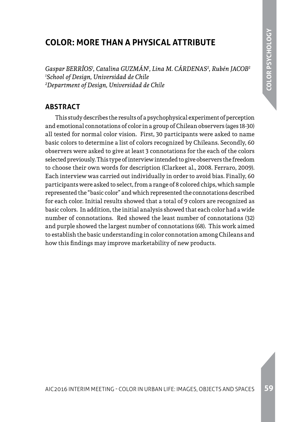### **Color: More Than a Physical Attribute**

*Gaspar BERRÍOS1 , Catalina GUZMÁN1 , Lina M. CÁRDENAS2 , Rubén JACOB2 1 School of Design, Universidad de Chile 2 Department of Design, Universidad de Chile*

#### **ABSTRACT**

Gaspar BERRIOS', Catalina GUZMÁN', Lina M. CÁRDENAS', Rubén JACOB'<br>
School of Design, Universidad de Chile<br>
Chepartment of Design, Universidad de Chile<br>
This sure describes the results of a percylophysical experiment of pe This study describes the results of a psychophysical experiment of perception and emotional connotations of color in a group of Chilean observers (ages 18-30) all tested for normal color vision. First, 30 participants were asked to name basic colors to determine a list of colors recognized by Chileans. Secondly, 60 observers were asked to give at least 3 connotations for the each of the colors selected previously. This type of interview intended to give observers the freedom to choose their own words for description (Clarkeet al., 2008. Ferraro, 2009). Each interview was carried out individually in order to avoid bias. Finally, 60 participants were asked to select, from a range of 8 colored chips, which sample represented the "basic color" and which represented the connotations described for each color. Initial results showed that a total of 9 colors are recognized as basic colors. In addition, the initial analysis showed that each color had a wide number of connotations. Red showed the least number of connotations (32) and purple showed the largest number of connotations (68). This work aimed to establish the basic understanding in color connotation among Chileans and how this findings may improve marketability of new products.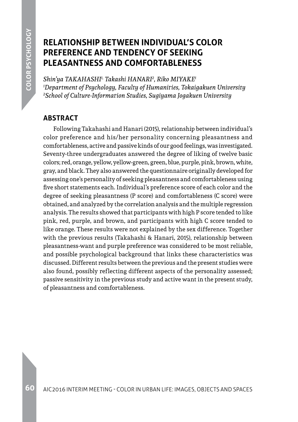### **Relationship between Individual's Color Preference and Tendency of Seeking Pleasantness and Comfortableness**

*Shin'ya TAKAHASHI1, Takashi HANARI2 , Riko MIYAKE1 1 Department of Psychology, Faculty of Humanities, Tokaigakuen University 2 School of Culture-Information Studies, Sugiyama Jogakuen University*

#### **ABSTRACT**

**FILE ASSANTNEESS AND COMFORTABLEMESS**<br> **FILE ASAAHTSHET Takashi HANARP.** Riko MIYAKE<sup>P</sup><br>
Shinga TAKAHASHIF Takashi HANARP. Riko MIYAKE<sup>P</sup><br>
<sup>19</sup> Operarment of Psychology, Reacting of Humanities, Tokaigakuen University<br>
<sup>42</sup> Following Takahashi and Hanari (2015), relationship between individual's color preference and his/her personality concerning pleasantness and comfortableness, active and passive kinds of our good feelings, was investigated. Seventy-three undergraduates answered the degree of liking of twelve basic colors; red, orange, yellow, yellow-green, green, blue, purple, pink, brown, white, gray, and black. They also answered the questionnaire originally developed for assessing one's personality of seeking pleasantness and comfortableness using five short statements each. Individual's preference score of each color and the degree of seeking pleasantness (P score) and comfortableness (C score) were obtained, and analyzed by the correlation analysis and the multiple regression analysis. The results showed that participants with high P score tended to like pink, red, purple, and brown, and participants with high C score tended to like orange. These results were not explained by the sex difference. Together with the previous results (Takahashi & Hanari, 2015), relationship between pleasantness-want and purple preference was considered to be most reliable, and possible psychological background that links these characteristics was discussed. Different results between the previous and the present studies were also found, possibly reflecting different aspects of the personality assessed; passive sensitivity in the previous study and active want in the present study, of pleasantness and comfortableness.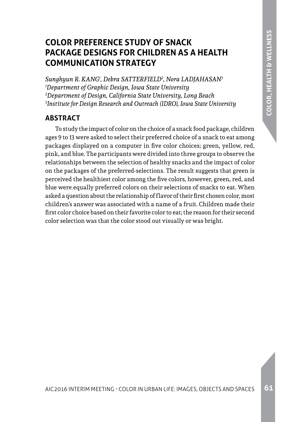## **Color Preference Study of Snack Package Designs for Children as a Health Communication Strategy**

*Sunghyun R. KANG1 , Debra SATTERFIELD2 , Nora LADJAHASAN3 Department of Graphic Design, Iowa State University Department of Design, California State University, Long Beach Institute for Design Research and Outreach (IDRO), Iowa State University*

#### **ABSTRACT**

To study the impact of color on the choice of a snack food package, children ages 9 to 13 were asked to select their preferred choice of a snack to eat among packages displayed on a computer in five color choices; green, yellow, red, pink, and blue. The participants were divided into three groups to observe the relationships between the selection of healthy snacks and the impact of color on the packages of the preferred-selections. The result suggests that green is perceived the healthiest color among the five colors, however, green, red, and blue were equally preferred colors on their selections of snacks to eat. When asked a question about the relationship of flavor of their first chosen color, most children's answer was associated with a name of a fruit. Children made their first color choice based on their favorite color to eat; the reason for their second color selection was that the color stood out visually or was bright.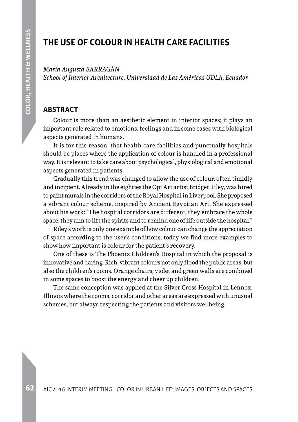## **The Use of Colour in Health Care Facilities**

*María Augusta BARRAGÁN School of Interior Architecture, Universidad de Las Américas UDLA, Ecuador*

#### **ABSTRACT**

Colour is more than an aesthetic element in interior spaces; it plays an important role related to emotions, feelings and in some cases with biological aspects generated in humans.

It is for this reason, that health care facilities and punctually hospitals should be places where the application of colour is handled in a professional way. It is relevant to take care about psychological, physiological and emotional aspects generated in patients.

**62**<br> **Examplement in the related to emotions, feelings and in some cases with biological<br>
<b>formotive related to emotions, feelings and in some cases with biological<br>
aspects generated in humans.<br>
It is for this reason, th** Gradually this trend was changed to allow the use of colour, often timidly and incipient. Already in the eighties the Opt Art artist Bridget Riley, was hired to paint murals in the corridors of the Royal Hospital in Liverpool. She proposed a vibrant colour scheme, inspired by Ancient Egyptian Art. She expressed about his work: "The hospital corridors are different, they embrace the whole space: they aim to lift the spirits and to remind one of life outside the hospital."

Riley's work is only one example of how colour can change the appreciation of space according to the user's conditions; today we find more examples to show how important is colour for the patient´s recovery.

One of these is The Phoenix Children's Hospital in which the proposal is innovative and daring. Rich, vibrant colours not only flood the public areas, but also the children's rooms. Orange chairs, violet and green walls are combined in some spaces to boost the energy and cheer up children.

The same conception was applied at the Silver Cross Hospital in Lennox, Illinois where the rooms, corridor and other areas are expressed with unusual schemes, but always respecting the patients and visitors wellbeing.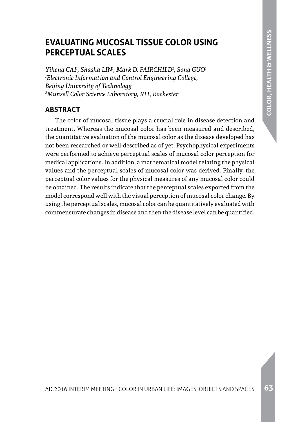### **Evaluating Mucosal Tissue Color Using Perceptual Scales**

*Yiheng CAI1 , Shasha LIN1 , Mark D. FAIRCHILD2 , Song GUO1 1 Electronic Information and Control Engineering College, Beijing University of Technology 2 Munsell Color Science Laboratory, RIT, Rochester*

### **ABSTRACT**

From Ontertainy of recrosoration<br>
2016 - Marxell Color Science Laboratory, RIT, Rochester<br> **ABSTRACT**<br>
The color of mucosal tissue plays a crucial role in disease detection and<br>the quantitative evaluation of the mucosal co The color of mucosal tissue plays a crucial role in disease detection and treatment. Whereas the mucosal color has been measured and described, the quantitative evaluation of the mucosal color as the disease developed has not been researched or well-described as of yet. Psychophysical experiments were performed to achieve perceptual scales of mucosal color perception for medical applications. In addition, a mathematical model relating the physical values and the perceptual scales of mucosal color was derived. Finally, the perceptual color values for the physical measures of any mucosal color could be obtained. The results indicate that the perceptual scales exported from the model correspond well with the visual perception of mucosal color change. By using the perceptual scales, mucosal color can be quantitatively evaluated with commensurate changes in disease and then the disease level can be quantified.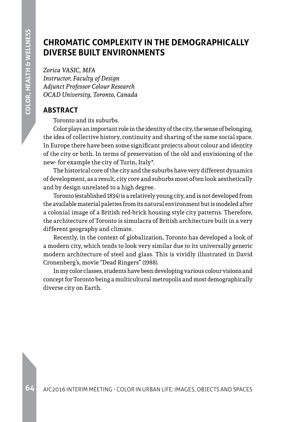## **Chromatic Complexity in the Demographically Diverse Built Environments**

*Zorica VASIC, MFA Instructor, Faculty of Design Adjunct Professor Colour Research OCAD University, Toronto, Canada*

#### **ABSTRACT**

Toronto and its suburbs.

**64** AIC2016 INTERIM MEETING - COLOR IN URBAN LIFE: IMAGES, OBJECTS AND SPACES **COLOR, HE** Color plays an important role in the identity of the city, the sense of belonging, the idea of collective history, continuity and sharing of the same social space. In Europe there have been some significant projects about colour and identity of the city or both. In terms of preservation of the old and envisioning of the new- for example the city of Turin, Italy\*.

The historical core of the city and the suburbs have very different dynamics of development, as a result, city core and suburbs most often look aesthetically and by design unrelated to a high degree.

Toronto (established 1834) is a relatively young city, and is not developed from the available material palettes from its natural environment but is modeled after a colonial image of a British red-brick housing style city patterns. Therefore, the architecture of Toronto is simulacra of British architecture built in a very different geography and climate.

Recently, in the context of globalization, Toronto has developed a look of a modern city, which tends to look very similar due to its universally generic modern architecture of steel and glass. This is vividly illustrated in David Cronenberg's, movie "Dead Ringers" (1988).

In my color classes, students have been developing various colour visions and concept for Toronto being a multicultural metropolis and most demographically diverse city on Earth.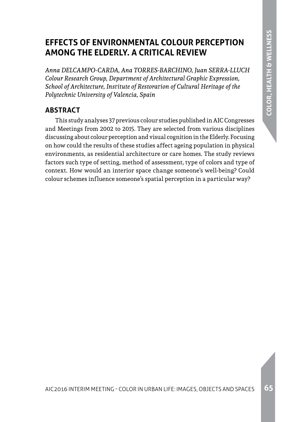## **Effects of Environmental Colour Perception among the Elderly. A Critical Review**

*Anna DELCAMPO-CARDA, Ana TORRES-BARCHINO, Juan SERRA-LLUCH Colour Research Group, Department of Architectural Graphic Expression, School of Architecture, Institute of Restoration of Cultural Heritage of the Polytechnic University of Valencia, Spain*

#### **ABSTRACT**

School of Architecture, Institute of Restoration of Guiltural Heritage of the<br>Folytechnic University of Valencia, Spain<br>**ABSTRACT**<br>This study analyses 37 previous colour studies published in AIC Congresses<br>and Meetings fro This study analyses 37 previous colour studies published in AIC Congresses and Meetings from 2002 to 2015. They are selected from various disciplines discussing about colour perception and visual cognition in the Elderly. Focusing on how could the results of these studies affect ageing population in physical environments, as residential architecture or care homes. The study reviews factors such type of setting, method of assessment, type of colors and type of context. How would an interior space change someone's well-being? Could colour schemes influence someone's spatial perception in a particular way?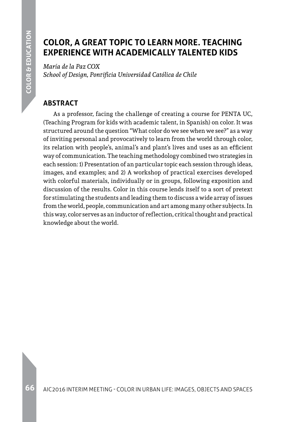### **COLOR, a great topic to learn more. Teaching experience with academically talented kids**

*María de la Paz COX School of Design, Pontificia Universidad Católica de Chile*

### **ABSTRACT**

As a professor, facing the challenge of creating a course for PENTA UC, (Teaching Program for kids with academic talent, in Spanish) on color. It was structured around the question "What color do we see when we see?" as a way of inviting personal and provocatively to learn from the world through color, its relation with people's, animal's and plant's lives and uses as an efficient way of communication. The teaching methodology combined two strategies in each session: 1) Presentation of an particular topic each session through ideas, images, and examples; and 2) A workshop of practical exercises developed with colorful materials, individually or in groups, following exposition and discussion of the results. Color in this course lends itself to a sort of pretext for stimulating the students and leading them to discuss a wide array of issues from the world, people, communication and art among many other subjects. In this way, color serves as an inductor of ref lection, critical thought and practical knowledge about the world.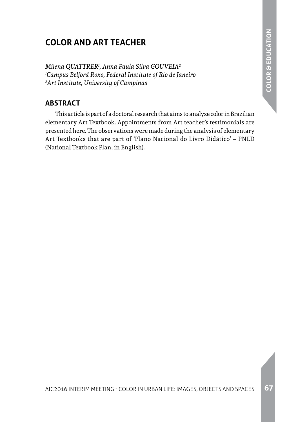## **Color and Art Teacher**

*Milena QUATTRER1 , Anna Paula Silva GOUVEIA2 1 Campus Belford Roxo, Federal Institute of Rio de Janeiro 2 Art Institute, University of Campinas*

### **ABSTRACT**

Milena QUATTRER', Ama Paula Slive GOUVEIA?<br>
"Campus Beljord Roxo, Federal Institute of Rio de Janeiro<br>
"Art Institute, University of Campinas<br>
ABSTRACT<br>
This article is part of a doctoral research that aims to analyze colo This article is part of a doctoral research that aims to analyze color in Brazilian elementary Art Textbook. Appointments from Art teacher's testimonials are presented here. The observations were made during the analysis of elementary Art Textbooks that are part of 'Plano Nacional do Livro Didático' – PNLD (National Textbook Plan, in English).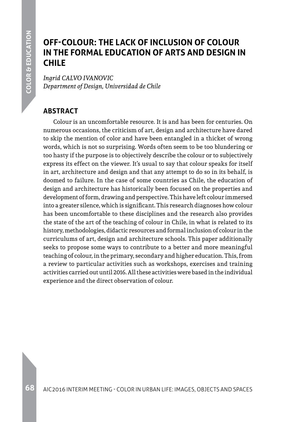### **Off-Colour: The Lack of Inclusion of Colour in the Formal Education of Arts and Design in Chile**

*Ingrid CALVO IVANOVIC Department of Design, Universidad de Chile*

#### **ABSTRACT**

Colour is an uncomfortable resource. It is and has been for centuries. On numerous occasions, the criticism of art, design and architecture have dared to skip the mention of color and have been entangled in a thicket of wrong words, which is not so surprising. Words often seem to be too blundering or too hasty if the purpose is to objectively describe the colour or to subjectively express its effect on the viewer. It's usual to say that colour speaks for itself in art, architecture and design and that any attempt to do so in its behalf, is doomed to failure. In the case of some countries as Chile, the education of design and architecture has historically been focused on the properties and development of form, drawing and perspective. This have left colour immersed into a greater silence, which is significant. This research diagnoses how colour has been uncomfortable to these disciplines and the research also provides the state of the art of the teaching of colour in Chile, in what is related to its history, methodologies, didactic resources and formal inclusion of colour in the curriculums of art, design and architecture schools. This paper additionally seeks to propose some ways to contribute to a better and more meaningful teaching of colour, in the primary, secondary and higher education. This, from a review to particular activities such as workshops, exercises and training activities carried out until 2016. All these activities were based in the individual experience and the direct observation of colour.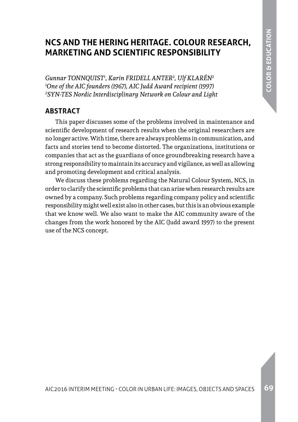### **NCS and the Hering Heritage. Colour Research, Marketing and Scientific Responsibility**

*Gunnar TONNQUIST1 , Karin FRIDELL ANTER2 , Ulf KLARÉN2 1 One of the AIC founders (1967), AIC Judd Award recipient (1997) 2 SYN-TES Nordic Interdisciplinary Network on Colour and Light*

#### **ABSTRACT**

This paper discusses some of the problems involved in maintenance and scientific development of research results when the original researchers are no longer active. With time, there are always problems in communication, and facts and stories tend to become distorted. The organizations, institutions or companies that act as the guardians of once groundbreaking research have a strong responsibility to maintain its accuracy and vigilance, as well as allowing and promoting development and critical analysis.

Gunnar TONNQUIST', Karin FRIDELL ANTER<sup>y</sup>, UIf KLARÉN<sup>2</sup><br>
<sup>26</sup>One of the AIC founders (1967), AIC Judd Award recipient (1997)<br>
<sup>27</sup>SYN-TES Nordic Interdisciplinary Network on Colour and Light<br>
— This paper discusses some o We discuss these problems regarding the Natural Colour System, NCS, in order to clarify the scientific problems that can arise when research results are owned by a company. Such problems regarding company policy and scientific responsibility might well exist also in other cases, but this is an obvious example that we know well. We also want to make the AIC community aware of the changes from the work honored by the AIC (Judd award 1997) to the present use of the NCS concept.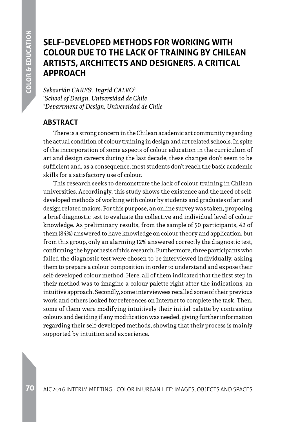### **Self-developed Methods for Working with Colour Due to the Lack of Training by Chilean Artists, Architects and Designers. A Critical Approach**

*Sebastián CARES1 , Ingrid CALVO2 1 School of Design, Universidad de Chile 2 Department of Design, Universidad de Chile*

#### **ABSTRACT**

There is a strong concern in the Chilean academic art community regarding the actual condition of colour training in design and art related schools. In spite of the incorporation of some aspects of colour education in the curriculum of art and design careers during the last decade, these changes don't seem to be sufficient and, as a consequence, most students don't reach the basic academic skills for a satisfactory use of colour.

**THE SETTER AND DESIGNEES. A CRITICAL AREST SERVICT SCHOTES SAND DESIGNEES.**<br> *Sebastián CARES, Ingrid CALVO***<br>** *Sebastián CARES, Ingrid CALVO***<br>** *The partment of Design, Universidad de Chile***<br>
<b>ABSTRACT**<br> **There is a** stro This research seeks to demonstrate the lack of colour training in Chilean universities. Accordingly, this study shows the existence and the need of selfdeveloped methods of working with colour by students and graduates of art and design related majors. For this purpose, an online survey was taken, proposing a brief diagnostic test to evaluate the collective and individual level of colour knowledge. As preliminary results, from the sample of 50 participants, 42 of them (84%) answered to have knowledge on colour theory and application, but from this group, only an alarming 12% answered correctly the diagnostic test, confirming the hypothesis of this research. Furthermore, three participants who failed the diagnostic test were chosen to be interviewed individually, asking them to prepare a colour composition in order to understand and expose their self-developed colour method. Here, all of them indicated that the first step in their method was to imagine a colour palette right after the indications, an intuitive approach. Secondly, some interviewees recalled some of their previous work and others looked for references on Internet to complete the task. Then, some of them were modifying intuitively their initial palette by contrasting colours and deciding if any modification was needed, giving further information regarding their self-developed methods, showing that their process is mainly supported by intuition and experience.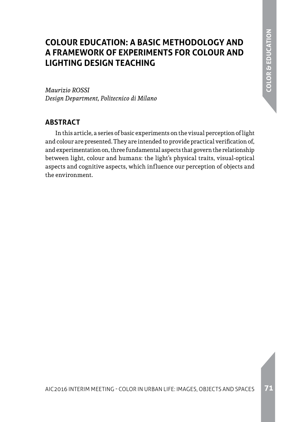### **Colour Education: a Basic Methodology and a Framework of Experiments for Colour and Lighting Design Teaching**

*Maurizio ROSSI Design Department, Politecnico di Milano*

#### **ABSTRACT**

Maurizio ROSSI<br>
Maurizio ROSSI<br>
Design Department, Politecnico di Milano<br>
In this article, a series of basic experiments on the visual perception of light<br>
and colour are presented. They are intended to provide practical v In this article, a series of basic experiments on the visual perception of light and colour are presented. They are intended to provide practical verification of, and experimentation on, three fundamental aspects that govern the relationship between light, colour and humans: the light's physical traits, visual-optical aspects and cognitive aspects, which influence our perception of objects and the environment.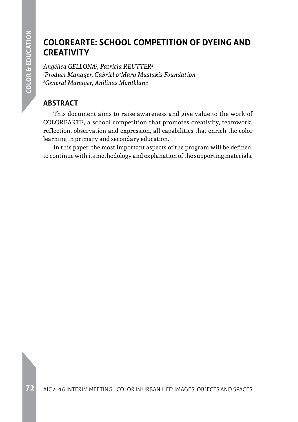# **COLOREARTE: School Competition of Dyeing and Creativity**

*Angélica GELLONA1 , Patricia REUTTER2 1 Product Manager, Gabriel & Mary Mustakis Foundation 2 General Manager, Anilinas Montblanc*

### **ABSTRACT**

*Angelica GELLONA; Particia REUTTER*<br> *Tenduct Manager, Gabriel e Mary Mustakis Foundation*<br>
<sup>2</sup>*General Manager, Antilnas Montblanc*<br> **ABSTRACT**<br>
This document aims to raise awareness and give value to the work of<br>
cOLORE This document aims to raise awareness and give value to the work of COLOREARTE, a school competition that promotes creativity, teamwork, reflection, observation and expression, all capabilities that enrich the color learning in primary and secondary education.

In this paper, the most important aspects of the program will be defined, to continue with its methodology and explanation of the supporting materials.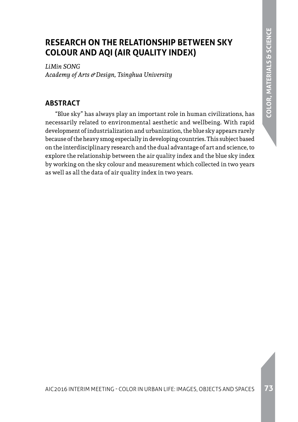# **Research on the Relationship between Sky Colour and AQI (Air Quality Index)**

*LiMin SONG Academy of Arts & Design, Tsinghua University*

#### **ABSTRACT**

**RESEARCH ON THE RELATIONSHIP BETWEEN SKY**<br> **COLOUR AND AQI (AIR QUALITY INDEX)**<br> *Chans SONG*<br> *CARAGING TANS of Design, Tsinghua University*<br> *CARAGING AND*<br> *CARAGING*<br> *CARAGING*<br> *CARAGING*<br> *CARAGING*<br> *CARAGING*<br> *C* "Blue sky" has always play an important role in human civilizations, has necessarily related to environmental aesthetic and wellbeing. With rapid development of industrialization and urbanization, the blue sky appears rarely because of the heavy smog especially in developing countries. This subject based on the interdisciplinary research and the dual advantage of art and science, to explore the relationship between the air quality index and the blue sky index by working on the sky colour and measurement which collected in two years as well as all the data of air quality index in two years.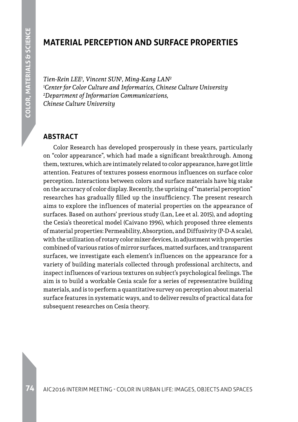### **Material Perception and Surface Properties**

*Tien-Rein LEE1 , Vincent SUN1 , Ming-Kang LAN2 1 Center for Color Culture and Informatics, Chinese Culture University 2 Department of Information Communications, Chinese Culture University* 

#### **ABSTRACT**

**744 AICERED MAND SURFACE PROPERTIES**<br> **744** And Consider and Information, King Kang LAN:<br> **744** Conserved in LEP, Vincent SUN, Ming Kang LAN:<br> **744** Conserved in the system of the conserved information communications,<br> Color Research has developed prosperously in these years, particularly on "color appearance", which had made a significant breakthrough. Among them, textures, which are intimately related to color appearance, have got little attention. Features of textures possess enormous influences on surface color perception. Interactions between colors and surface materials have big stake on the accuracy of color display. Recently, the uprising of "material perception" researches has gradually filled up the insufficiency. The present research aims to explore the influences of material properties on the appearance of surfaces. Based on authors' previous study (Lan, Lee et al. 2015), and adopting the Cesia's theoretical model (Caivano 1996), which proposed three elements of material properties: Permeability, Absorption, and Diffusivity (P-D-A scale), with the utilization of rotary color mixer devices, in adjustment with properties combined of various ratios of mirror surfaces, matted surfaces, and transparent surfaces, we investigate each element's influences on the appearance for a variety of building materials collected through professional architects, and inspect influences of various textures on subject's psychological feelings. The aim is to build a workable Cesia scale for a series of representative building materials, and is to perform a quantitative survey on perception about material surface features in systematic ways, and to deliver results of practical data for subsequent researches on Cesia theory.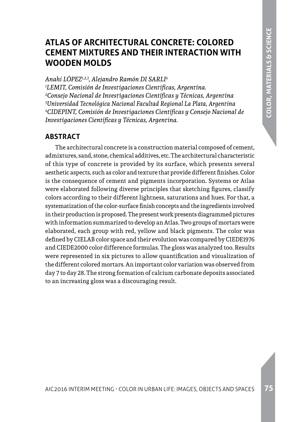### **Atlas of Architectural Concrete: Colored Cement Mixtures and their Interaction with Wooden Molds**

*Anahí LÓPEZ1,2,3, Alejandro Ramón DI SARLI4*

 *LEMIT, Comisión de Investigaciones Cientificas, Argentina. Consejo Nacional de Investigaciones Científicas y Técnicas, Argentina Universidad Tecnológica Nacional Facultad Regional La Plata, Argentina CIDEPINT, Comisión de Investigaciones Científicas y Consejo Nacional de Investigaciones Científicas y Técnicas, Argentina.*

#### **ABSTRACT**

**ATLAS OF ARCHITECTURAL CONCRETE: COLORED**<br> **CHOMENT MIXTURES AND THEIR INTERACTION WITH**<br> **COLORENT MIXTURES AND THEIR INTERACTION WITH**<br> **MOODEN MOLDS**<br> **MOODEN MOLDS**<br> **CLORENT, Comission de Investigaciones Científicas** The architectural concrete is a construction material composed of cement, admixtures, sand, stone, chemical additives, etc. The architectural characteristic of this type of concrete is provided by its surface, which presents several aesthetic aspects, such as color and texture that provide different finishes. Color is the consequence of cement and pigments incorporation. Systems or Atlas were elaborated following diverse principles that sketching figures, classify colors according to their different lightness, saturations and hues. For that, a systematization of the color-surface finish concepts and the ingredients involved in their production is proposed. The present work presents diagrammed pictures with information summarized to develop an Atlas. Two groups of mortars were elaborated, each group with red, yellow and black pigments. The color was defined by CIELAB color space and their evolution was compared by CIEDE1976 and CIEDE2000 color difference formulas. The gloss was analyzed too. Results were represented in six pictures to allow quantification and visualization of the different colored mortars. An important color variation was observed from day 7 to day 28. The strong formation of calcium carbonate deposits associated to an increasing gloss was a discouraging result.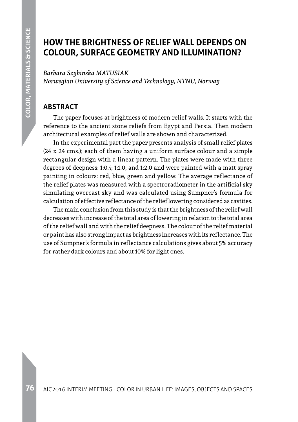# **How the Brightness of Relief Wall Depends on Colour, Surface Geometry and Illumination?**

*Barbara Szybinska MATUSIAK Norwegian University of Science and Technology, NTNU, Norway*

### **ABSTRACT**

The paper focuses at brightness of modern relief walls. It starts with the reference to the ancient stone reliefs from Egypt and Persia. Then modern architectural examples of relief walls are shown and characterized.

**76** ADOW THE BRIGHTNESS OF RELIEF WALL DEPENDS ON COLOUR, SURFACE GEOMETRY AND ILLUMINATION?<br> *Barbara Seguhinska MATUSIAK*<br> *Norwegian University of Science and Technology, NTNU, Norway*<br>  $\frac{1}{2}$ <br>
ABSTRACT<br> **ABSTRACT**<br> In the experimental part the paper presents analysis of small relief plates (24 x 24 cms.); each of them having a uniform surface colour and a simple rectangular design with a linear pattern. The plates were made with three degrees of deepness: 1:0.5; 1:1.0; and 1:2.0 and were painted with a matt spray painting in colours: red, blue, green and yellow. The average reflectance of the relief plates was measured with a spectroradiometer in the artificial sky simulating overcast sky and was calculated using Sumpner's formula for calculation of effective ref lectance of the relief lowering considered as cavities.

The main conclusion from this study is that the brightness of the relief wall decreases with increase of the total area of lowering in relation to the total area of the relief wall and with the relief deepness. The colour of the relief material or paint has also strong impact as brightness increases with its ref lectance. The use of Sumpner's formula in ref lectance calculations gives about 5% accuracy for rather dark colours and about 10% for light ones.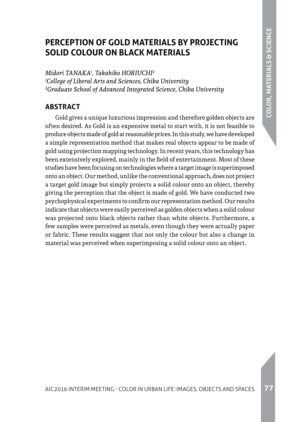# **Perception of Gold Materials by Projecting Solid Colour on Black Materials**

*Midori TANAKA1 , Takahiko HORIUCHI2 1 College of Liberal Arts and Sciences, Chiba University 2 Graduate School of Advanced Integrated Science, Chiba University*

#### **ABSTRACT**

**ERCEPTION OF GOLD MATERIALS BY PROJECTING**<br>
SOLID COLOUR ON BLACK MATERIALS<br>
Midon' ITAMAKA: Tablarking HORIUCHIP<br>
Colloge of Libral Arts and Sciences, Chiba University<br>
Colloge of Libral Arts and Sciences, Chiba Universi Gold gives a unique luxurious impression and therefore golden objects are often desired. As Gold is an expensive metal to start with, it is not feasible to produce objects made of gold at reasonable prices. In this study, we have developed a simple representation method that makes real objects appear to be made of gold using projection mapping technology. In recent years, this technology has been extensively explored, mainly in the field of entertainment. Most of these studies have been focusing on technologies where a target image is superimposed onto an object. Our method, unlike the conventional approach, does not project a target gold image but simply projects a solid colour onto an object, thereby giving the perception that the object is made of gold. We have conducted two psychophysical experiments to confirm our representation method. Our results indicate that objects were easily perceived as golden objects when a solid colour was projected onto black objects rather than white objects. Furthermore, a few samples were perceived as metals, even though they were actually paper or fabric. These results suggest that not only the colour but also a change in material was perceived when superimposing a solid colour onto an object.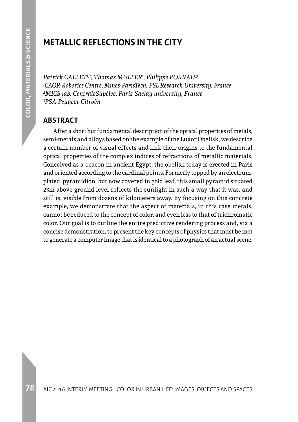# **Metallic Reflections in the City**

*Patrick CALLET1,2, Thomas MULLER1 , Philippe PORRAL1,3 CAOR-Robotics Centre, Mines-ParisTech, PSL Research University, France MICS lab. CentraleSupélec, Paris-Saclay university, France PSA-Peugeot-Citroën*

#### **ABSTRACT**

**78** ALLET REFLECTIONS IN THE CITY<br>
Patrick CALLET<sup>12</sup>, Thomas MULLER; Philippe PORRAL<sup>14</sup><br>
27 COR-Redortes Contra Sachar Minis-ParisTeles, PSI, Research University, France<br>
27 COR-Redortes Contra Sacha guide patrick Scale After a short but fundamental description of the optical properties of metals, semi-metals and alloys based on the example of the Luxor Obelisk, we describe a certain number of visual effects and link their origins to the fundamental optical properties of the complex indices of refractions of metallic materials. Conceived as a beacon in ancient Egypt, the obelisk today is erected in Paris and oriented according to the cardinal points. Formerly topped by an electrumplated pyramidion, but now covered in gold leaf, this small pyramid situated 23m above ground level reflects the sunlight in such a way that it was, and still is, visible from dozens of kilometers away. By focusing on this concrete example, we demonstrate that the aspect of materials, in this case metals, cannot be reduced to the concept of color, and even less to that of trichromatic color. Our goal is to outline the entire predictive rendering process and, via a concise demonstration, to present the key concepts of physics that must be met to generate a computer image that is identical to a photograph of an actual scene.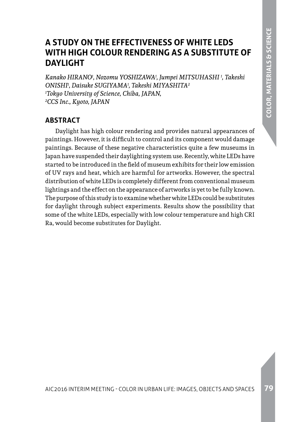### **A Study On The Effectiveness Of White Leds With High Colour Rendering As A Substitute Of Daylight**

*Kanako HIRANO1 , Nozomu YOSHIZAWA1 , Jumpei Mitsuhashi <sup>1</sup> , Takeshi Onishi1 , Daisuke Sugiyama1 , Takeshi Miyashita2 1 Tokyo University of Science, Chiba, JAPAN, 2 CCS Inc., Kyoto, JAPAN* 

#### **ABSTRACT**

**A STUDY ON THE EFFECTIVENESS OF WHITE LEDS<br>
MATH HIGH COLOUR RENDERING AS A SUBSTITUTE OF**<br> **DAYLIGHT**<br> **EVALUATION**<br> **EVALUATION**<br> **EVALUATION**<br> **COLOR INTERIMALS SUBSTITUTE OF THE SUBSARY MATAINS AND CONSITE TRANCEMENTA** Daylight has high colour rendering and provides natural appearances of paintings. However, it is difficult to control and its component would damage paintings. Because of these negative characteristics quite a few museums in Japan have suspended their daylighting system use. Recently, white LEDs have started to be introduced in the field of museum exhibits for their low emission of UV rays and heat, which are harmful for artworks. However, the spectral distribution of white LEDs is completely different from conventional museum lightings and the effect on the appearance of artworks is yet to be fully known. The purpose of this study is to examine whether white LEDs could be substitutes for daylight through subject experiments. Results show the possibility that some of the white LEDs, especially with low colour temperature and high CRI Ra, would become substitutes for Daylight.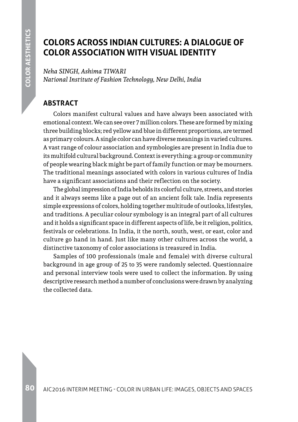# **Colors across Indian Cultures: A Dialogue of Color Association with Visual Identity**

*Neha SINGH, Ashima TIWARI National Institute of Fashion Technology, New Delhi, India*

### **ABSTRACT**

**EXERCTS**<br> **EXERCIT CODETS manifest cultural values and have always been associated with<br>
colors manifest cultural values and have always been associated with<br>
contons manifest cultural values and have always been associat** Colors manifest cultural values and have always been associated with emotional context. We can see over 7 million colors. These are formed by mixing three building blocks; red yellow and blue in different proportions, are termed as primary colours. A single color can have diverse meanings in varied cultures. A vast range of colour association and symbologies are present in India due to its multifold cultural background. Context is everything: a group or community of people wearing black might be part of family function or may be mourners. The traditional meanings associated with colors in various cultures of India have a significant associations and their reflection on the society.

The global impression of India beholds its colorful culture, streets, and stories and it always seems like a page out of an ancient folk tale. India represents simple expressions of colors, holding together multitude of outlooks, lifestyles, and traditions. A peculiar colour symbology is an integral part of all cultures and it holds a significant space in different aspects of life, be it religion, politics, festivals or celebrations. In India, it the north, south, west, or east, color and culture go hand in hand. Just like many other cultures across the world, a distinctive taxonomy of color associations is treasured in India.

Samples of 100 professionals (male and female) with diverse cultural background in age group of 25 to 35 were randomly selected. Questionnaire and personal interview tools were used to collect the information. By using descriptive research method a number of conclusions were drawn by analyzing the collected data.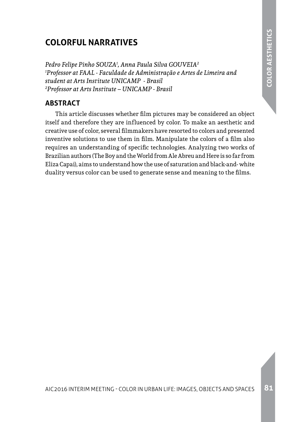# **Colorful Narratives**

*Pedro Felipe Pinho SOUZA1 , Anna Paula Silva GOUVEIA2 1 Professor at FAAL - Faculdade de Administração e Artes de Limeira and student at Arts Institute UNICAMP - Brasil 2 Professor at Arts Institute – UNICAMP - Brasil*

### **ABSTRACT**

Troffessor at FAAL-Faculadad de Administracio e Artes de Limeira and<br>student at Arts Institute UNICAMP - Brasil<br>The SPROSSOR at Arts Institute UNICAMP - Brasil<br>The SPROSSOR at Arts Institute - UNICAMP - Brasil<br>**ABSTRACT**<br>T This article discusses whether film pictures may be considered an object itself and therefore they are influenced by color. To make an aesthetic and creative use of color, several filmmakers have resorted to colors and presented inventive solutions to use them in film. Manipulate the colors of a film also requires an understanding of specific technologies. Analyzing two works of Brazilian authors (The Boy and the World from Ale Abreu and Here is so far from Eliza Capai), aims to understand how the use of saturation and black-and- white duality versus color can be used to generate sense and meaning to the films.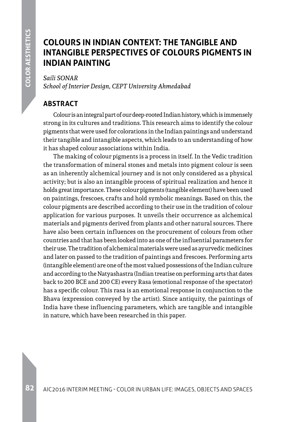# **Colours in Indian Context: the Tangible and Intangible Perspectives of Colours Pigments in Indian Painting**

*Saili SONAR*

*School of Interior Design, CEPT University Ahmedabad*

#### **ABSTRACT**

Colour is an integral part of our deep-rooted Indian history, which is immensely strong in its cultures and traditions. This research aims to identify the colour pigments that were used for colorations in the Indian paintings and understand their tangible and intangible aspects, which leads to an understanding of how it has shaped colour associations within India.

**Saili SONAR**<br> **82 School of Interior Design, CEPT University Ahmedabad<br>
<b>ABSTRACT**<br> **Colourisan integral part of our deep-rooted Indian history, which is immensely strong in its cultures and traditions. This research ai** The making of colour pigments is a process in itself. In the Vedic tradition the transformation of mineral stones and metals into pigment colour is seen as an inherently alchemical journey and is not only considered as a physical activity; but is also an intangible process of spiritual realization and hence it holds great importance. These colour pigments (tangible element) have been used on paintings, frescoes, crafts and hold symbolic meanings. Based on this, the colour pigments are described according to their use in the tradition of colour application for various purposes. It unveils their occurrence as alchemical materials and pigments derived from plants and other natural sources. There have also been certain influences on the procurement of colours from other countries and that has been looked into as one of the inf luential parameters for their use. The tradition of alchemical materials were used as ayurvedic medicines and later on passed to the tradition of paintings and frescoes. Performing arts (intangible element) are one of the most valued possessions of the Indian culture and according to the Natyashastra (Indian treatise on performing arts that dates back to 200 BCE and 200 CE) every Rasa (emotional response of the spectator) has a specific colour. This rasa is an emotional response in conjunction to the Bhava (expression conveyed by the artist). Since antiquity, the paintings of India have these influencing parameters, which are tangible and intangible in nature, which have been researched in this paper.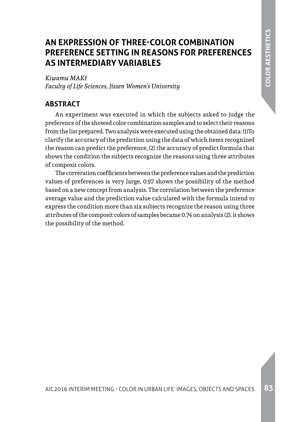# **An expression of three-color combination preference setting in reasons for preferences as intermediary variables**

*Kiwamu MAKI*

*Faculty of Life Sciences, Jissen Women's University*

#### **ABSTRACT**

Kiwamu MAKI<br>
Faculty of Life Sciences, Jissen Women's University<br>
ABSTRACT<br>
An experiment was executed in which the subjects asked to judge the<br>
preference of the showed color combination samples and to select their reason An experiment was executed in which the subjects asked to judge the preference of the showed color combination samples and to select their reasons from the list prepared. Two analysis were executed using the obtained data: (1)To clarify the accuracy of the prediction using the data of which items recognized the reason can predict the preference, (2) the accuracy of predict formula that shows the condition the subjects recognize the reasons using three attributes of composit colors.

The correration coefficients between the preference values and the prediction values of preferences is very large, 0.97 shows the possibility of the method based on a new concept from analysis. The correlation between the preference average value and the prediction value calculated with the formula intend to express the condition more than six subjects recognize the reason using three attributes of the composit colors of samples became 0.74 on analysis (2). it shows the possibility of the method.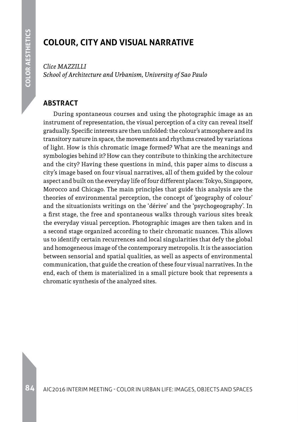# **Colour, City and Visual Narrative**

*Clice MAZZILLI School of Architecture and Urbanism, University of Sao Paulo*

#### **ABSTRACT**

Stabol of Architecture and Urbanism, University of Sao Paulo<br>
School of Architecture and Urbanism, University of Sao Paulo<br>
Invariance as an instrument of representation, the visual perception of a city can reveal itsell<br> During spontaneous courses and using the photographic image as an instrument of representation, the visual perception of a city can reveal itself gradually. Specific interests are then unfolded: the colour's atmosphere and its transitory nature in space, the movements and rhythms created by variations of light. How is this chromatic image formed? What are the meanings and symbologies behind it? How can they contribute to thinking the architecture and the city? Having these questions in mind, this paper aims to discuss a city's image based on four visual narratives, all of them guided by the colour aspect and built on the everyday life of four different places: Tokyo, Singapore, Morocco and Chicago. The main principles that guide this analysis are the theories of environmental perception, the concept of 'geography of colour' and the situationists writings on the 'dérive' and the 'psychogeography'. In a first stage, the free and spontaneous walks through various sites break the everyday visual perception. Photographic images are then taken and in a second stage organized according to their chromatic nuances. This allows us to identify certain recurrences and local singularities that defy the global and homogeneous image of the contemporary metropolis. It is the association between sensorial and spatial qualities, as well as aspects of environmental communication, that guide the creation of these four visual narratives. In the end, each of them is materialized in a small picture book that represents a chromatic synthesis of the analyzed sites.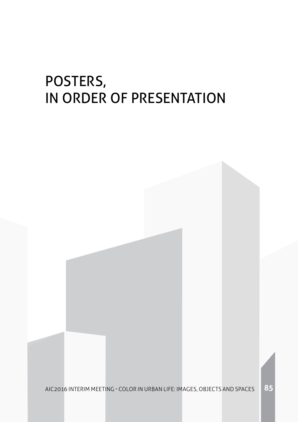# posters, IN ORDER OF PRESENTATION

AIC2016 INTERIM MEETING - COLOR IN URBAN LIFE: IMAGES, OBJECTS AND SPACES **85**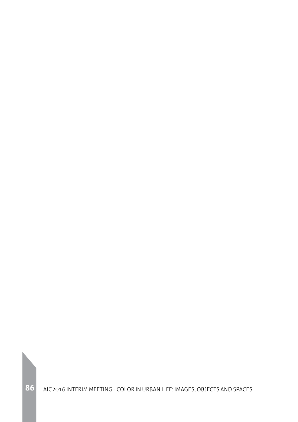AIC2016 INTERIM MEETING - COLOR IN URBAN LIFE: IMAGES, OBJECTS AND SPACES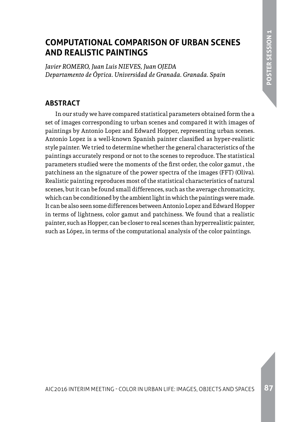### **Computational Comparison of Urban Scenes and Realistic Paintings**

*Javier ROMERO, Juan Luis NIEVES, Juan OJEDA Departamento de Óptica. Universidad de Granada. Granada. Spain*

#### **ABSTRACT**

In our study we have compared statistical parameters obtained form the a set of images corresponding to urban scenes and compared it with images of paintings by Antonio Lopez and Edward Hopper, representing urban scenes. Antonio Lopez is a well-known Spanish painter classified as hyper-realistic style painter. We tried to determine whether the general characteristics of the paintings accurately respond or not to the scenes to reproduce. The statistical parameters studied were the moments of the first order, the color gamut , the patchiness an the signature of the power spectra of the images (FFT) (Oliva). Realistic painting reproduces most of the statistical characteristics of natural scenes, but it can be found small differences, such as the average chromaticity, which can be conditioned by the ambient light in which the paintings were made. It can be also seen some differences between Antonio Lopez and Edward Hopper in terms of lightness, color gamut and patchiness. We found that a realistic painter, such as Hopper, can be closer to real scenes than hyperrealistic painter, such as López, in terms of the computational analysis of the color paintings.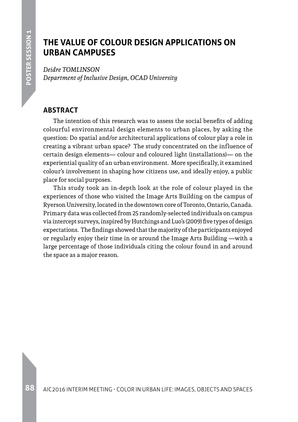### **The Value of Colour Design Applications on Urban Campuses**

*Deidre TOMLINSON Department of Inclusive Design, OCAD University*

#### **ABSTRACT**

The intention of this research was to assess the social benefits of adding colourful environmental design elements to urban places, by asking the question: Do spatial and/or architectural applications of colour play a role in creating a vibrant urban space? The study concentrated on the influence of certain design elements— colour and coloured light (installations)— on the experiential quality of an urban environment. More specifically, it examined colour's involvement in shaping how citizens use, and ideally enjoy, a public place for social purposes.

This study took an in-depth look at the role of colour played in the experiences of those who visited the Image Arts Building on the campus of Ryerson University, located in the downtown core of Toronto, Ontario, Canada. Primary data was collected from 25 randomly-selected individuals on campus via intercept surveys, inspired by Hutchings and Luo's (2009) five types of design expectations. The findings showed that the majority of the participants enjoyed or regularly enjoy their time in or around the Image Arts Building —with a large percentage of those individuals citing the colour found in and around the space as a major reason.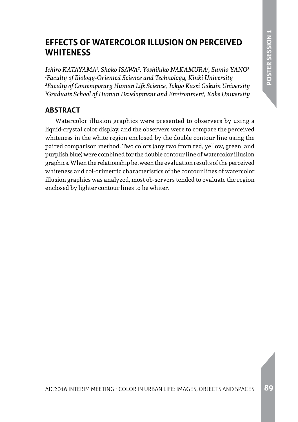# **Effects of Watercolor Illusion on Perceived Whiteness**

*Ichiro KATAYAMA1 , Shoko ISAWA2 , Yoshihiko NAKAMURA3 , Sumio YANO3 Faculty of Biology-Oriented Science and Technology, Kinki University Faculty of Contemporary Human Life Science, Tokyo Kasei Gakuin University Graduate School of Human Development and Environment, Kobe University*

### **ABSTRACT**

Watercolor illusion graphics were presented to observers by using a liquid-crystal color display, and the observers were to compare the perceived whiteness in the white region enclosed by the double contour line using the paired comparison method. Two colors (any two from red, yellow, green, and purplish blue) were combined for the double contour line of watercolor illusion graphics. When the relationship between the evaluation results of the perceived whiteness and col-orimetric characteristics of the contour lines of watercolor illusion graphics was analyzed, most ob-servers tended to evaluate the region enclosed by lighter contour lines to be whiter.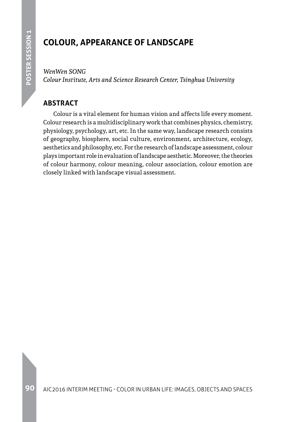# **Colour, Appearance of Landscape**

*WenWen SONG Colour Institute, Arts and Science Research Center, Tsinghua University*

### **ABSTRACT**

Colour is a vital element for human vision and affects life every moment. Colour research is a multidisciplinary work that combines physics, chemistry, physiology, psychology, art, etc. In the same way, landscape research consists of geography, biosphere, social culture, environment, architecture, ecology, aesthetics and philosophy, etc. For the research of landscape assessment, colour plays important role in evaluation of landscape aesthetic. Moreover, the theories of colour harmony, colour meaning, colour association, colour emotion are closely linked with landscape visual assessment.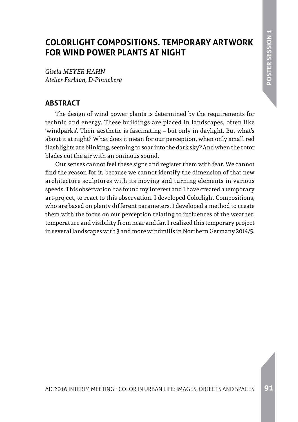# **Colorlight Compositions. Temporary Artwork for Wind Power Plants at Night**

*Gisela MEYER-HAHN Atelier Farbton, D-Pinneberg*

#### **ABSTRACT**

The design of wind power plants is determined by the requirements for technic and energy. These buildings are placed in landscapes, often like 'windparks'. Their aesthetic is fascinating – but only in daylight. But what's about it at night? What does it mean for our perception, when only small red flashlights are blinking, seeming to soar into the dark sky? And when the rotor blades cut the air with an ominous sound.

Our senses cannot feel these signs and register them with fear. We cannot find the reason for it, because we cannot identify the dimension of that new architecture sculptures with its moving and turning elements in various speeds. This observation has found my interest and I have created a temporary art-project, to react to this observation. I developed Colorlight Compositions, who are based on plenty different parameters. I developed a method to create them with the focus on our perception relating to influences of the weather, temperature and visibility from near and far. I realized this temporary project in several landscapes with 3 and more windmills in Northern Germany 2014/5.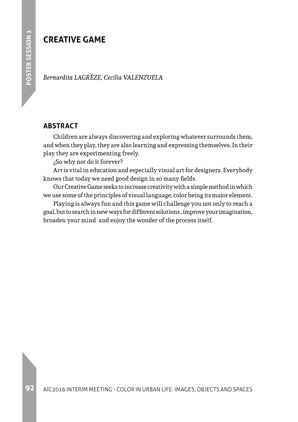# **Creative Game**

*Bernardita LAGRÈZE, Cecilia VALENZUELA*

#### **ABSTRACT**

Children are always discovering and exploring whatever surrounds them, and when they play, they are also learning and expressing themselves. In their play they are experimenting freely.

¿So why not do it forever?

Art is vital in education and especially visual art for designers. Everybody knows that today we need good design in so many fields.

Our Creative Game seeks to increase creativity with a simple method in which we use some of the principles of visual language, color being its major element.

Playing is always fun and this game will challenge you not only to reach a goal, but to search in new ways for different solutions , improve your imagination, broaden your mind and enjoy the wonder of the process itself.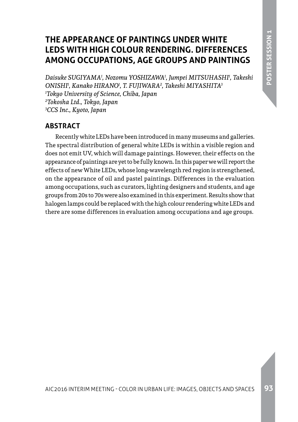# **The Appearance of Paintings under White LEDs with High Colour Rendering. Differences among occupations, age groups and paintings**

*Daisuke Sugiyama1 , Nozomu YOSHIZAWA1 , Jumpei Mitsuhashi1 , Takeshi Onishi1 , Kanako HIRANO1 , T. FUJIWARA2 , Takeshi Miyashita3 1 Tokyo University of Science, Chiba, Japan 2 Tokosha Ltd., Tokyo, Japan 3 CCS Inc., Kyoto, Japan*

### **ABSTRACT**

Recently white LEDs have been introduced in many museums and galleries. The spectral distribution of general white LEDs is within a visible region and does not emit UV, which will damage paintings. However, their effects on the appearance of paintings are yet to be fully known. In this paper we will report the effects of new White LEDs, whose long-wavelength red region is strengthened, on the appearance of oil and pastel paintings. Differences in the evaluation among occupations, such as curators, lighting designers and students, and age groups from 20s to 70s were also examined in this experiment. Results show that halogen lamps could be replaced with the high colour rendering white LEDs and there are some differences in evaluation among occupations and age groups.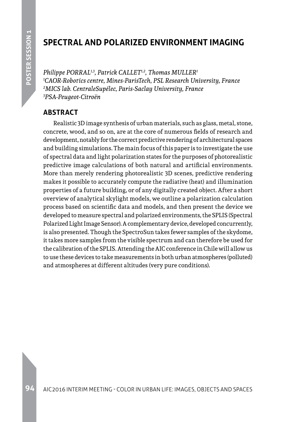### **Spectral and Polarized Environment Imaging**

*Philippe PORRAL1,3, Patrick CALLET1,2, Thomas MULLER1 CAOR-Robotics centre, Mines-ParisTech, PSL Research University, France MICS lab. CentraleSupélec, Paris-Saclay University, France PSA-Peugeot-Citroën*

### **ABSTRACT**

Realistic 3D image synthesis of urban materials, such as glass, metal, stone, concrete, wood, and so on, are at the core of numerous fields of research and development, notably for the correct predictive rendering of architectural spaces and building simulations. The main focus of this paper is to investigate the use of spectral data and light polarization states for the purposes of photorealistic predictive image calculations of both natural and artificial environments. More than merely rendering photorealistic 3D scenes, predictive rendering makes it possible to accurately compute the radiative (heat) and illumination properties of a future building, or of any digitally created object. After a short overview of analytical skylight models, we outline a polarization calculation process based on scientific data and models, and then present the device we developed to measure spectral and polarized environments, the SPLIS (Spectral Polarized Light Image Sensor). A complementary device, developed concurrently, is also presented. Though the SpectroSun takes fewer samples of the skydome, it takes more samples from the visible spectrum and can therefore be used for the calibration of the SPLIS. Attending the AIC conference in Chile will allow us to use these devices to take measurements in both urban atmospheres (polluted) and atmospheres at different altitudes (very pure conditions).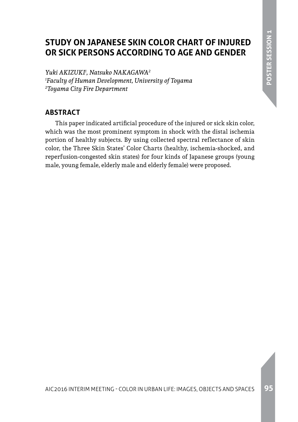# **Study on Japanese Skin Color Chart of Injured or Sick Persons According to Age and Gender**

*Yuki AKIZUKI1 , Natsuko NAKAGAWA2 1 Faculty of Human Development, University of Toyama 2 Toyama City Fire Department*

#### **ABSTRACT**

This paper indicated artificial procedure of the injured or sick skin color, which was the most prominent symptom in shock with the distal ischemia portion of healthy subjects. By using collected spectral reflectance of skin color, the Three Skin States' Color Charts (healthy, ischemia-shocked, and reperfusion-congested skin states) for four kinds of Japanese groups (young male, young female, elderly male and elderly female) were proposed.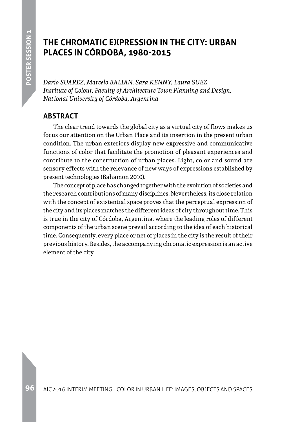# **The Chromatic Expression in the City: Urban Places in Córdoba, 1980-2015**

*Darío SUAREZ, Marcelo BALIAN, Sara KENNY, Laura SUEZ Institute of Colour, Faculty of Architecture Town Planning and Design, National University of Córdoba, Argentina*

### **ABSTRACT**

The clear trend towards the global city as a virtual city of flows makes us focus our attention on the Urban Place and its insertion in the present urban condition. The urban exteriors display new expressive and communicative functions of color that facilitate the promotion of pleasant experiences and contribute to the construction of urban places. Light, color and sound are sensory effects with the relevance of new ways of expressions established by present technologies (Bahamon 2010).

The concept of place has changed together with the evolution of societies and the research contributions of many disciplines. Nevertheless, its close relation with the concept of existential space proves that the perceptual expression of the city and its places matches the different ideas of city throughout time. This is true in the city of Córdoba, Argentina, where the leading roles of different components of the urban scene prevail according to the idea of each historical time. Consequently, every place or net of places in the city is the result of their previous history. Besides, the accompanying chromatic expression is an active element of the city.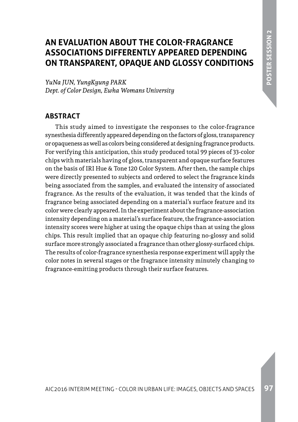### **An Evaluation about the Color-fragrance Associations Differently Appeared Depending on Transparent, Opaque and Glossy Conditions**

*YuNa JUN, YungKyung PARK Dept. of Color Design, Ewha Womans University* 

#### **ABSTRACT**

**AN EVALUATION ABOUT THE COLOR-FRAGRANCE**<br> **ASSOCIATIONS DIFFERENTLY APPEARED DEPENDING**<br>
ON TRANSPARENT, OPAQUE AND GLOSSY CONDITIONS<br>
THE AN JUNA TIME STRUME TO THE ARRESE TO A REFORM THE STRUME ON THE STRUME ON THE STRU This study aimed to investigate the responses to the color-fragrance synesthesia differently appeared depending on the factors of gloss, transparency or opaqueness as well as colors being considered at designing fragrance products. For verifying this anticipation, this study produced total 99 pieces of 33-color chips with materials having of gloss, transparent and opaque surface features on the basis of IRI Hue & Tone 120 Color System. After then, the sample chips were directly presented to subjects and ordered to select the fragrance kinds being associated from the samples, and evaluated the intensity of associated fragrance. As the results of the evaluation, it was tended that the kinds of fragrance being associated depending on a material's surface feature and its color were clearly appeared. In the experiment about the fragrance-association intensity depending on a material's surface feature, the fragrance-association intensity scores were higher at using the opaque chips than at using the gloss chips. This result implied that an opaque chip featuring no-glossy and solid surface more strongly associated a fragrance than other glossy-surfaced chips. The results of color-fragrance synesthesia response experiment will apply the color notes in several stages or the fragrance intensity minutely changing to fragrance-emitting products through their surface features.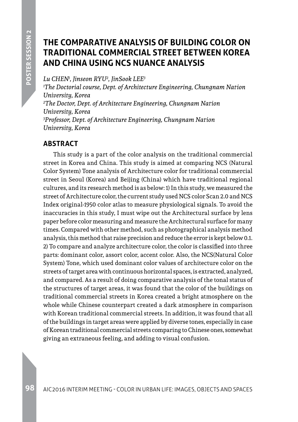# **The Comparative Analysis of Building Color on Traditional Commercial Street between Korea and China using NCS Nuance Analysis**

*Lu CHEN1 , Jinseon RYU2 , JinSook LEE3*

*1 The Doctorial course, Dept. of Architecture Engineering, Chungnam Nation University, Korea 2 The Doctor, Dept. of Architecture Engineering, Chungnam Nation University, Korea 3 Professor, Dept. of Architecture Engineering, Chungnam Nation University, Korea*

#### **ABSTRACT**

This study is a part of the color analysis on the traditional commercial street in Korea and China. This study is aimed at comparing NCS (Natural Color System) Tone analysis of Architecture color for traditional commercial street in Seoul (Korea) and Beijing (China) which have traditional regional cultures, and its research method is as below: 1) In this study, we measured the street of Architecture color, the current study used NCS color Scan 2.0 and NCS Index original-1950 color atlas to measure physiological signals. To avoid the inaccuracies in this study, I must wipe out the Architectural surface by lens paper before color measuring and measure the Architectural surface for many times. Compared with other method, such as photographical analysis method analysis, this method that raise precision and reduce the error is kept below 0.1. 2) To compare and analyze architecture color, the color is classified into three parts: dominant color, assort color, accent color. Also, the NCS(Natural Color System) Tone, which used dominant color values of architecture color on the streets of target area with continuous horizontal spaces, is extracted, analyzed, and compared. As a result of doing comparative analysis of the tonal status of the structures of target areas, it was found that the color of the buildings on traditional commercial streets in Korea created a bright atmosphere on the whole while Chinese counterpart created a dark atmosphere in comparison with Korean traditional commercial streets. In addition, it was found that all of the buildings in target areas were applied by diverse tones, especially in case of Korean traditional commercial streets comparing to Chinese ones, somewhat giving an extraneous feeling, and adding to visual confusion.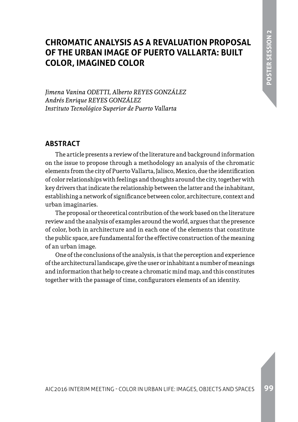# **Chromatic Analysis as a Revaluation Proposal of the Urban Image of Puerto Vallarta: Built Color, Imagined Color**

*Jimena Vanina ODETTI, Alberto REYES GONZÁLEZ Andrés Enrique REYES GONZÁLEZ Instituto Tecnológico Superior de Puerto Vallarta*

#### **ABSTRACT**

**CHROMATIC ANALYSIS AS A REVALUATION PROPOSAL OF THE URBAN IMAGE OF PUERTO VALLARTA: BUILT**<br> **COLOR, IMAGINED COLOR**<br> **EVALUATION COLOR INTERIMENTAL COLOR**<br> **EVALUATION COLOR INTERIMENTAL COLOR**<br> **EVALUATION**<br> **EVALUATION** The article presents a review of the literature and background information on the issue to propose through a methodology an analysis of the chromatic elements from the city of Puerto Vallarta, Jalisco, Mexico, due the identification of color relationships with feelings and thoughts around the city, together with key drivers that indicate the relationship between the latter and the inhabitant, establishing a network of significance between color, architecture, context and urban imaginaries.

The proposal or theoretical contribution of the work based on the literature review and the analysis of examples around the world, argues that the presence of color, both in architecture and in each one of the elements that constitute the public space, are fundamental for the effective construction of the meaning of an urban image.

One of the conclusions of the analysis, is that the perception and experience of the architectural landscape, give the user or inhabitant a number of meanings and information that help to create a chromatic mind map, and this constitutes together with the passage of time, configurators elements of an identity.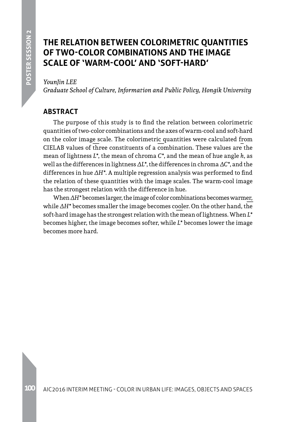### **The Relation between Colorimetric Quantities of Two-Color Combinations and the Image Scale of 'warm-cool' and 'soft-hard'**

*YounJin LEE*

*Graduate School of Culture, Information and Public Policy, Hongik University*

#### **ABSTRACT**

The purpose of this study is to find the relation between colorimetric quantities of two-color combinations and the axes of warm-cool and soft-hard on the color image scale. The colorimetric quantities were calculated from CIELAB values of three constituents of a combination. These values are the *— — –*mean of lightness *L\**, the mean of chroma *C\**, and the mean of hue angle *h*, as well as the differences in lightness *∆L\**, the differences in chroma *∆C\**, and the differences in hue *∆H\**. A multiple regression analysis was performed to find the relation of these quantities with the image scales. The warm-cool image has the strongest relation with the difference in hue.

When *∆H\** becomes larger, the image of color combinations becomes warmer, while *∆H\** becomes smaller the image becomes cooler. On the other hand, the while *∆H\** becomes smaller the image becomes cooler. On the other hand, the soft-hard image has the strongest relation with the mean of lightness. When *L\**  becomes higher, the image becomes softer, while *L\** becomes lower the image becomes more hard.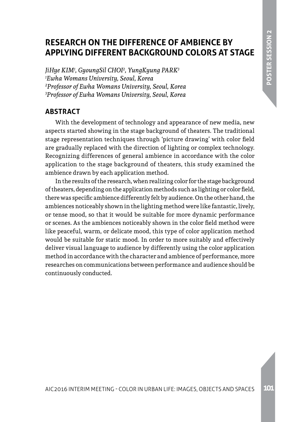# **Research on the Difference of Ambience by Applying Different Background Colors at Stage**

*JiHye KIM1 , GyoungSil CHOI2 , YungKyung PARK3 Ewha Womans University, Seoul, Korea Professor of Ewha Womans University, Seoul, Korea Professor of Ewha Womans University, Seoul, Korea*

### **ABSTRACT**

With the development of technology and appearance of new media, new aspects started showing in the stage background of theaters. The traditional stage representation techniques through 'picture drawing' with color field are gradually replaced with the direction of lighting or complex technology. Recognizing differences of general ambience in accordance with the color application to the stage background of theaters, this study examined the ambience drawn by each application method.

**RESEARCH ON THE DIFFERENCE OF AMBIENCE BY**<br> **APPLYING DIFFERENT BACKGROUND COLORS AT STAGE**<br>
Fighe KIM, GyoungSil CHOP, YungKyung PARK<br>
The fighe Chorea Wemans University, Social, Korea<br>
The phase of Funda Wemans Universi In the results of the research, when realizing color for the stage background of theaters, depending on the application methods such as lighting or color field, there was specific ambience differently felt by audience. On the other hand, the ambiences noticeably shown in the lighting method were like fantastic, lively, or tense mood, so that it would be suitable for more dynamic performance or scenes. As the ambiences noticeably shown in the color field method were like peaceful, warm, or delicate mood, this type of color application method would be suitable for static mood. In order to more suitably and effectively deliver visual language to audience by differently using the color application method in accordance with the character and ambience of performance, more researches on communications between performance and audience should be continuously conducted.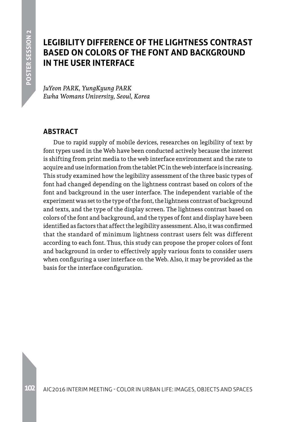### **Legibility Difference of the Lightness Contrast Based on Colors of the Font and Background in the User Interface**

*JuYeon PARK, YungKyung PARK Ewha Womans University, Seoul, Korea*

#### **ABSTRACT**

Due to rapid supply of mobile devices, researches on legibility of text by font types used in the Web have been conducted actively because the interest is shifting from print media to the web interface environment and the rate to acquire and use information from the tablet PC in the web interface is increasing. This study examined how the legibility assessment of the three basic types of font had changed depending on the lightness contrast based on colors of the font and background in the user interface. The independent variable of the experiment was set to the type of the font, the lightness contrast of background and texts, and the type of the display screen. The lightness contrast based on colors of the font and background, and the types of font and display have been identified as factors that affect the legibility assessment. Also, it was confirmed that the standard of minimum lightness contrast users felt was different according to each font. Thus, this study can propose the proper colors of font and background in order to effectively apply various fonts to consider users when configuring a user interface on the Web. Also, it may be provided as the basis for the interface configuration.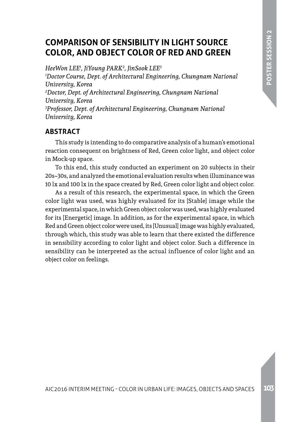# **Comparison of Sensibility in Light Source Color, and Object Color of Red and Green**

*HeeWon LEE1 , JiYoung PARK2 , JinSook LEE3*

*1 Doctor Course, Dept. of Architectural Engineering, Chungnam National University, Korea 2 Doctor, Dept. of Architectural Engineering, Chungnam National University, Korea 3 Professor, Dept. of Architectural Engineering, Chungnam National University, Korea*

### **ABSTRACT**

This study is intending to do comparative analysis of a human's emotional reaction consequent on brightness of Red, Green color light, and object color in Mock-up space.

To this end, this study conducted an experiment on 20 subjects in their 20s~30s, and analyzed the emotional evaluation results when illuminance was 10 lx and 100 lx in the space created by Red, Green color light and object color.

**COMPARISON OF SENSIBILITY IN LIGHT SOURCE**<br> **COLOR, AND OBJECT COLOR OF RED AND GREEN**<br>
Here<sup>Volu</sup> LEE<sup>1</sup>, Urons *PARP*, JinSonk LEF'<br>
University, Korea<br>
University, Korea<br>
University, Korea<br>
University, Korea<br>
University As a result of this research, the experimental space, in which the Green color light was used, was highly evaluated for its [Stable] image while the experimental space, in which Green object color was used, was highly evaluated for its [Energetic] image. In addition, as for the experimental space, in which Red and Green object color were used, its [Unusual] image was highly evaluated, through which, this study was able to learn that there existed the difference in sensibility according to color light and object color. Such a difference in sensibility can be interpreted as the actual influence of color light and an object color on feelings.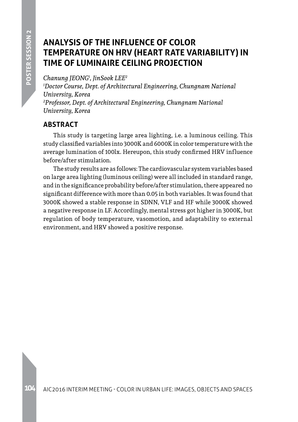# **Analysis of the Influence of Color Temperature on HRV (Heart Rate Variability) in Time of Luminaire Ceiling Projection**

*Chanung JEONG1 , JinSook LEE2*

*1 Doctor Course, Dept. of Architectural Engineering, Chungnam National University, Korea 2 Professor, Dept. of Architectural Engineering, Chungnam National University, Korea*

### **ABSTRACT**

This study is targeting large area lighting, i.e. a luminous ceiling. This study classified variables into 3000K and 6000K in color temperature with the average lumination of 100lx. Hereupon, this study confirmed HRV influence before/after stimulation.

The study results are as follows: The cardiovascular system variables based on large area lighting (luminous ceiling) were all included in standard range, and in the significance probability before/after stimulation, there appeared no significant difference with more than 0.05 in both variables. It was found that 3000K showed a stable response in SDNN, VLF and HF while 3000K showed a negative response in LF. Accordingly, mental stress got higher in 3000K, but regulation of body temperature, vasomotion, and adaptability to external environment, and HRV showed a positive response.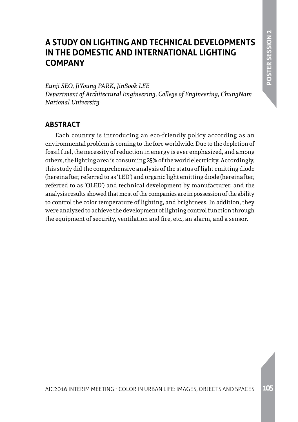### **A Study on Lighting and Technical Developments in the Domestic and International Lighting Company**

*Eunji SEO, JiYoung PARK, JinSook LEE Department of Architectural Engineering, College of Engineering, ChungNam National University* 

### **ABSTRACT**

**A STUDY ON LIGHTING AND TECHNICAL DEVELOPMENTS**<br>
IN THE DOMESTIC AND INTERNATIONAL LIGHTING<br>
COMPANY<br>
EVAPREMENT SECO, JYOUNG PARK, JinSook LEE<br>
EVAPREMENT MEETING COMPANY<br>
EVAPREMENT MEETING AND TREAD AND SURFACE THE UNI Each country is introducing an eco-friendly policy according as an environmental problem is coming to the fore worldwide. Due to the depletion of fossil fuel, the necessity of reduction in energy is ever emphasized, and among others, the lighting area is consuming 25% of the world electricity. Accordingly, this study did the comprehensive analysis of the status of light emitting diode (hereinafter, referred to as 'LED') and organic light emitting diode (hereinafter, referred to as 'OLED') and technical development by manufacturer, and the analysis results showed that most of the companies are in possession of the ability to control the color temperature of lighting, and brightness. In addition, they were analyzed to achieve the development of lighting control function through the equipment of security, ventilation and fire, etc., an alarm, and a sensor.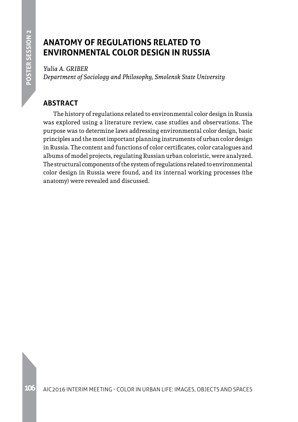# **Anatomy of Regulations Related to Environmental Color Design in Russia**

*Yulia A. GRIBER*

*Department of Sociology and Philosophy, Smolensk State University*

### **ABSTRACT**

The history of regulations related to environmental color design in Russia was explored using a literature review, case studies and observations. The purpose was to determine laws addressing environmental color design, basic principles and the most important planning instruments of urban color design in Russia. The content and functions of color certificates, color catalogues and albums of model projects, regulating Russian urban coloristic, were analyzed. The structural components of the system of regulations related to environmental color design in Russia were found, and its internal working processes (the anatomy) were revealed and discussed.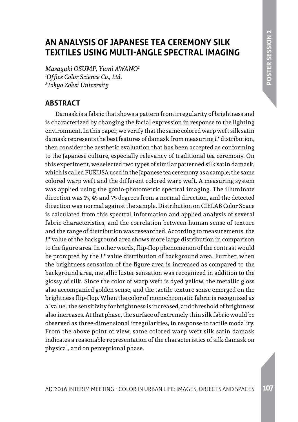### **An Analysis of Japanese Tea Ceremony Silk Textiles Using Multi-angle Spectral Imaging**

*Masayuki OSUMI1 , Yumi AWANO2 1 Office Color Science Co., Ltd. 2 Tokyo Zokei University*

#### **ABSTRACT**

**AN ANALYSIS OF JAPANESE TEA CEREMONY SILK**<br> **TEXTILES USING MULTI-ANGLE SPECTRAL IMAGING**<br> *Massuruki OSUMP. Yumi AWANO*<br> *Massuruki OSUMP. Tumi AWANO*<br> *Coffier Color Science Co., Ltd.*<br> **ABSTRACT**<br> **Doffice** Color Scien Damask is a fabric that shows a pattern from irregularity of brightness and is characterized by changing the facial expression in response to the lighting environment. In this paper, we verify that the same colored warp weft silk satin damask represents the best features of damask from measuring *L\** distribution, then consider the aesthetic evaluation that has been accepted as conforming to the Japanese culture, especially relevancy of traditional tea ceremony. On this experiment, we selected two types of similar patterned silk satin damask, which is called FUKUSA used in the Japanese tea ceremony as a sample; the same colored warp weft and the different colored warp weft. A measuring system was applied using the gonio-photometric spectral imaging. The illuminate direction was 15, 45 and 75 degrees from a normal direction, and the detected direction was normal against the sample. Distribution on CIELAB Color Space is calculated from this spectral information and applied analysis of several fabric characteristics, and the correlation between human sense of texture and the range of distribution was researched. According to measurements, the *L\** value of the background area shows more large distribution in comparison to the figure area. In other words, flip-flop phenomenon of the contrast would be prompted by the *L\** value distribution of background area. Further, when the brightness sensation of the figure area is increased as compared to the background area, metallic luster sensation was recognized in addition to the glossy of silk. Since the color of warp weft is dyed yellow, the metallic gloss also accompanied golden sense, and the tactile texture sense emerged on the brightness flip-flop. When the color of monochromatic fabric is recognized as a 'value', the sensitivity for brightness is increased, and threshold of brightness also increases. At that phase, the surface of extremely thin silk fabric would be observed as three-dimensional irregularities, in response to tactile modality. From the above point of view, same colored warp weft silk satin damask indicates a reasonable representation of the characteristics of silk damask on physical, and on perceptional phase.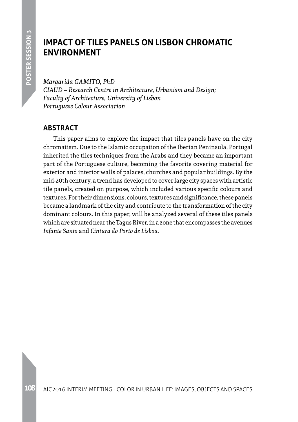## **Impact of Tiles Panels on Lisbon Chromatic Environment**

*Margarida Gamito, PhD CIAUD – Research Centre in Architecture, Urbanism and Design; Faculty of Architecture, University of Lisbon Portuguese Colour Association*

#### **ABSTRACT**

This paper aims to explore the impact that tiles panels have on the city chromatism. Due to the Islamic occupation of the Iberian Peninsula, Portugal inherited the tiles techniques from the Arabs and they became an important part of the Portuguese culture, becoming the favorite covering material for exterior and interior walls of palaces, churches and popular buildings. By the mid-20th century, a trend has developed to cover large city spaces with artistic tile panels, created on purpose, which included various specific colours and textures. For their dimensions, colours, textures and significance, these panels became a landmark of the city and contribute to the transformation of the city dominant colours. In this paper, will be analyzed several of these tiles panels which are situated near the Tagus River, in a zone that encompasses the avenues *Infante Santo* and *Cintura do Porto de Lisboa.*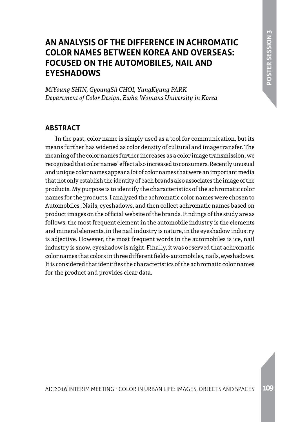## **An Analysis of the Difference in Achromatic Color Names Between Korea and Overseas: Focused on the Automobiles, Nail and Eyeshadows**

*MiYoung SHIN, GyoungSil CHOI, YungKyung PARK Department of Color Design, Ewha Womans University in Korea*

#### **ABSTRACT**

In the past, color name is simply used as a tool for communication, but its means further has widened as color density of cultural and image transfer. The meaning of the color names further increases as a color image transmission, we recognized that color names' effect also increased to consumers. Recently unusual and unique color names appear a lot of color names that were an important media that not only establish the identity of each brands also associates the image of the products. My purpose is to identify the characteristics of the achromatic color names for the products. I analyzed the achromatic color names were chosen to Automobiles , Nails, eyeshadows, and then collect achromatic names based on product images on the official website of the brands. Findings of the study are as follows; the most frequent element in the automobile industry is the elements and mineral elements, in the nail industry is nature, in the eyeshadow industry is adjective. However, the most frequent words in the automobiles is ice, nail industry is snow, eyeshadow is night. Finally, it was observed that achromatic color names that colors in three different fields- automobiles, nails, eyeshadows. It is considered that identifies the characteristics of the achromatic color names for the product and provides clear data.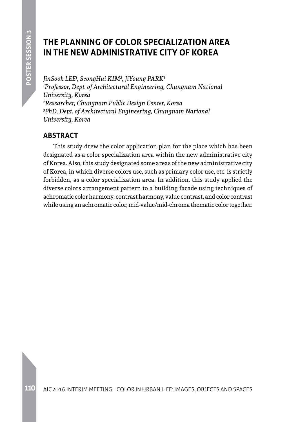# **The Planning of Color Specialization Area in the New Administrative City of Korea**

*JinSook LEE1 , SeongHui KIM2 , JiYoung PARK3 1 Professor, Dept. of Architectural Engineering, Chungnam National University, Korea 2 Researcher, Chungnam Public Design Center, Korea 3 PhD, Dept. of Architectural Engineering, Chungnam National University, Korea*

#### **ABSTRACT**

This study drew the color application plan for the place which has been designated as a color specialization area within the new administrative city of Korea. Also, this study designated some areas of the new administrative city of Korea, in which diverse colors use, such as primary color use, etc. is strictly forbidden, as a color specialization area. In addition, this study applied the diverse colors arrangement pattern to a building facade using techniques of achromatic color harmony, contrast harmony, value contrast, and color contrast while using an achromatic color, mid-value/mid-chroma thematic color together.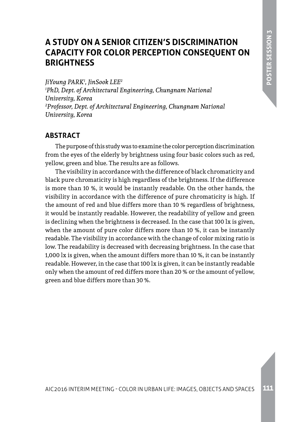# **A Study on a Senior Citizen's Discrimination Capacity for Color Perception Consequent on Brightness**

*JiYoung PARK1 , JinSook LEE2*

*1 PhD, Dept. of Architectural Engineering, Chungnam National University, Korea 2 Professor, Dept. of Architectural Engineering, Chungnam National University, Korea*

#### **ABSTRACT**

The purpose of this study was to examine the color perception discrimination from the eyes of the elderly by brightness using four basic colors such as red, yellow, green and blue. The results are as follows.

The visibility in accordance with the difference of black chromaticity and black pure chromaticity is high regardless of the brightness. If the difference is more than 10 %, it would be instantly readable. On the other hands, the visibility in accordance with the difference of pure chromaticity is high. If the amount of red and blue differs more than 10 % regardless of brightness, it would be instantly readable. However, the readability of yellow and green is declining when the brightness is decreased. In the case that 100 lx is given, when the amount of pure color differs more than 10 %, it can be instantly readable. The visibility in accordance with the change of color mixing ratio is low. The readability is decreased with decreasing brightness. In the case that 1,000 lx is given, when the amount differs more than 10 %, it can be instantly readable. However, in the case that 100 lx is given, it can be instantly readable only when the amount of red differs more than 20 % or the amount of yellow, green and blue differs more than 30 %.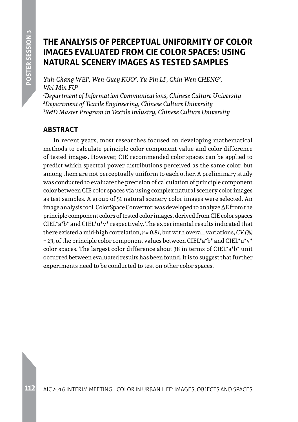# **The Analysis of Perceptual Uniformity of Color Images Evaluated from CIE Color Spaces: Using Natural Scenery Images as Tested Samples**

*Yuh-Chang WEI1 , Wen-Guey KUO2 , Yu-Pin LI1 , Chih-Wen CHENG2 , Wei-Min FU3*

*1 Department of Information Communications, Chinese Culture University 2 Department of Textile Engineering, Chinese Culture University 3 R&D Master Program in Textile Industry, Chinese Culture University*

## **ABSTRACT**

In recent years, most researches focused on developing mathematical methods to calculate principle color component value and color difference of tested images. However, CIE recommended color spaces can be applied to predict which spectral power distributions perceived as the same color, but among them are not perceptually uniform to each other. A preliminary study was conducted to evaluate the precision of calculation of principle component color between CIE color spaces via using complex natural scenery color images as test samples. A group of 51 natural scenery color images were selected. An image analysis tool, ColorSpace Convertor, was developed to analyze ΔE from the principle component colors of tested color images, derived from CIE color spaces CIEL\*a\*b\* and CIEL\*u\*v\* respectively. The experimental results indicated that there existed a mid-high correlation, *r = 0.81,* but with overall variations, *CV (%) = 23*, of the principle color component values between CIEL\*a\*b\* and CIEL\*u\*v\* color spaces. The largest color difference about 38 in terms of CIEL\*a\*b\* unit occurred between evaluated results has been found. It is to suggest that further experiments need to be conducted to test on other color spaces.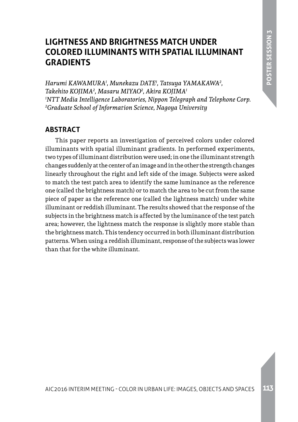# **Lightness and Brightness Match under Colored Illuminants with Spatial Illuminant Gradients**

*Harumi KAWAMURA1 , Munekazu DATE1 , Tatsuya YAMAKAWA2 , Takehito KOJIMA2 , Masaru MIYAO2 , Akira KOJIMA1 1 NTT Media Intelligence Laboratories, Nippon Telegraph and Telephone Corp. 2 Graduate School of Information Science, Nagoya University*

## **ABSTRACT**

This paper reports an investigation of perceived colors under colored illuminants with spatial illuminant gradients. In performed experiments, two types of illuminant distribution were used; in one the illuminant strength changes suddenly at the center of an image and in the other the strength changes linearly throughout the right and left side of the image. Subjects were asked to match the test patch area to identify the same luminance as the reference one (called the brightness match) or to match the area to be cut from the same piece of paper as the reference one (called the lightness match) under white illuminant or reddish illuminant. The results showed that the response of the subjects in the brightness match is affected by the luminance of the test patch area; however, the lightness match the response is slightly more stable than the brightness match. This tendency occurred in both illuminant distribution patterns. When using a reddish illuminant, response of the subjects was lower than that for the white illuminant.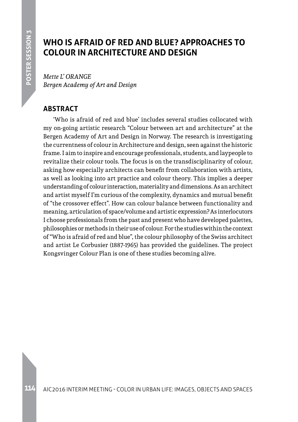# **Who is Afraid of Red and Blue? Approaches to Colour in Architecture and Design**

*Mette L' ORANGE Bergen Academy of Art and Design*

## **ABSTRACT**

'Who is afraid of red and blue' includes several studies collocated with my on-going artistic research "Colour between art and architecture" at the Bergen Academy of Art and Design in Norway. The research is investigating the currentness of colour in Architecture and design, seen against the historic frame. I aim to inspire and encourage professionals, students, and laypeople to revitalize their colour tools. The focus is on the transdisciplinarity of colour, asking how especially architects can benefit from collaboration with artists, as well as looking into art practice and colour theory. This implies a deeper understanding of colour interaction, materiality and dimensions. As an architect and artist myself I'm curious of the complexity, dynamics and mutual benefit of "the crossover effect". How can colour balance between functionality and meaning, articulation of space/volume and artistic expression? As interlocutors I choose professionals from the past and present who have developed palettes, philosophies or methods in their use of colour. For the studies within the context of "Who is afraid of red and blue", the colour philosophy of the Swiss architect and artist Le Corbusier (1887-1965) has provided the guidelines. The project Kongsvinger Colour Plan is one of these studies becoming alive.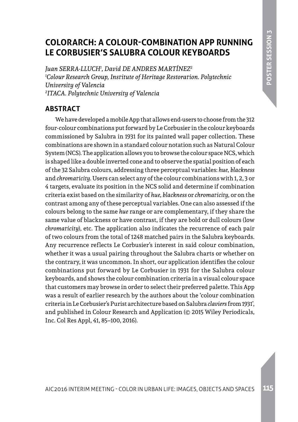# **Colorarch: A Colour-Combination App Running Le Corbusier's Salubra Colour Keyboards**

*Juan SERRA-LLUCH1 , David DE ANDRES MARTÍNEZ2 1 Colour Research Group, Institute of Heritage Restoration. Polytechnic University of Valencia 2 ITACA. Polytechnic University of Valencia*

#### **ABSTRACT**

We have developed a mobile App that allows end-users to choose from the 312 four-colour combinations put forward by Le Corbusier in the colour keyboards commissioned by Salubra in 1931 for its painted wall paper collection. These combinations are shown in a standard colour notation such as Natural Colour System (NCS). The application allows you to browse the colour space NCS, which is shaped like a double inverted cone and to observe the spatial position of each of the 32 Salubra colours, addressing three perceptual variables: *hue, blackness*  and *chromaticity.* Users can select any of the colour combinations with 1, 2, 3 or 4 targets, evaluate its position in the NCS solid and determine if combination criteria exist based on the similarity of *hue, blackness* or *chromaticity,* or on the contrast among any of these perceptual variables. One can also assessed if the colours belong to the same *hue* range or are complementary, if they share the same value of blackness or have contrast, if they are bold or dull colours (low *chromaticity*), etc. The application also indicates the recurrence of each pair of two colours from the total of 1248 matched pairs in the Salubra keyboards. Any recurrence reflects Le Corbusier's interest in said colour combination, whether it was a usual pairing throughout the Salubra charts or whether on the contrary, it was uncommon. In short, our application identifies the colour combinations put forward by Le Corbusier in 1931 for the Salubra colour keyboards, and shows the colour combination criteria in a visual colour space that customers may browse in order to select their preferred palette. This App was a result of earlier research by the authors about the 'colour combination criteria in Le Corbusier's Purist architecture based on Salubra *claviers* from 1931', and published in Colour Research and Application (© 2015 Wiley Periodicals, Inc. Col Res Appl, 41, 85–100, 2016).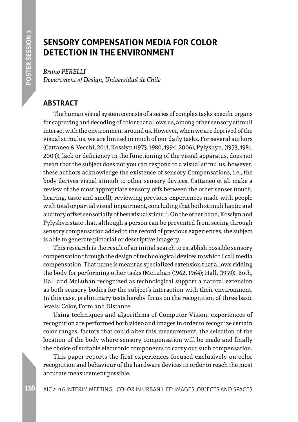## **Sensory compensation media for color detection in the environment**

*Bruno PERELLI Department of Design, Universidad de Chile*

## **ABSTRACT**

The human visual system consists of a series of complex tasks specific organs for capturing and decoding of color that allows us, among other sensory stimuli interact with the environment around us. However, when we are deprived of the visual stimulus, we are limited in much of our daily tasks. For several authors (Cattaneo & Vecchi, 2011; Kosslyn (1973, 1980, 1994, 2006), Pylyshyn, (1973, 1981, 2003)), lack or deficiency in the functioning of the visual apparatus, does not mean that the subject does not you can respond to a visual stimulus, however, these authors acknowledge the existence of sensory Compensations, i.e., the body derives visual stimuli to other sensory devices. Cattaneo et al. make a review of the most appropriate sensory offs between the other senses (touch, hearing, taste and smell), reviewing previous experiences made with people with total or partial visual impairment, concluding that both stimuli haptic and auditory offset sensorially of best visual stimuli. On the other hand, Kosslyn and Pylyshyn state that, although a person can be prevented from seeing through sensory compensation added to the record of previous experiences, the subject is able to generate pictorial or descriptive imagery.

This research is the result of an initial search to establish possible sensory compensation through the design of technological devices to which I call media compensation. That name is meant as specialized extension that allows ridding the body for performing other tasks (McLuhan (1962, 1964); Hall, (1959)). Both, Hall and McLuhan recognized as technological support a natural extension as both sensory bodies for the subject's interaction with their environment. In this case, preliminary tests hereby focus on the recognition of three basic levels: Color, Form and Distance.

Using techniques and algorithms of Computer Vision, experiences of recognition are performed both video and images in order to recognize certain color ranges, factors that could alter this measurement, the selection of the location of the body where sensory compensation will be made and finally the choice of suitable electronic components to carry out such compensation.

This paper reports the first experiences focused exclusively on color recognition and behaviour of the hardware devices in order to reach the most accurate measurement possible.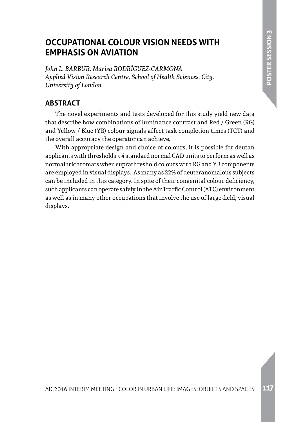# **Occupational Colour Vision Needs with Emphasis on Aviation**

*John L. BARBUR, Marisa RODRÍGUEZ-CARMONA Applied Vision Research Centre, School of Health Sciences, City, University of London*

## **ABSTRACT**

The novel experiments and tests developed for this study yield new data that describe how combinations of luminance contrast and Red / Green (RG) and Yellow / Blue (YB) colour signals affect task completion times (TCT) and the overall accuracy the operator can achieve.

With appropriate design and choice of colours, it is possible for deutan applicants with thresholds < 4 standard normal CAD units to perform as well as normal trichromats when suprathreshold colours with RG and YB components are employed in visual displays. As many as 22% of deuteranomalous subjects can be included in this category. In spite of their congenital colour deficiency, such applicants can operate safely in the Air Traffic Control (ATC) environment as well as in many other occupations that involve the use of large-field, visual displays.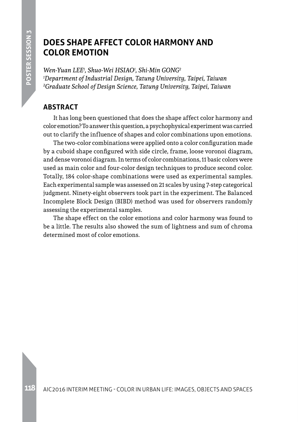# **Does Shape Affect Color Harmony and Color Emotion**

*Wen-Yuan LEE1 , Shuo-Wei HSIAO1 , Shi-Min GONG2 1 Department of Industrial Design, Tatung University, Taipei, Taiwan 2 Graduate School of Design Science, Tatung University, Taipei, Taiwan*

## **ABSTRACT**

It has long been questioned that does the shape affect color harmony and color emotion? To answer this question, a psychophysical experiment was carried out to clarify the influence of shapes and color combinations upon emotions.

The two-color combinations were applied onto a color configuration made by a cuboid shape configured with side circle, frame, loose voronoi diagram, and dense voronoi diagram. In terms of color combinations, 11 basic colors were used as main color and four-color design techniques to produce second color. Totally, 184 color-shape combinations were used as experimental samples. Each experimental sample was assessed on 21 scales by using 7-step categorical judgment. Ninety-eight observers took part in the experiment. The Balanced Incomplete Block Design (BIBD) method was used for observers randomly assessing the experimental samples.

The shape effect on the color emotions and color harmony was found to be a little. The results also showed the sum of lightness and sum of chroma determined most of color emotions.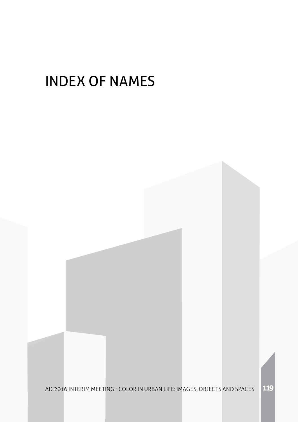# index of names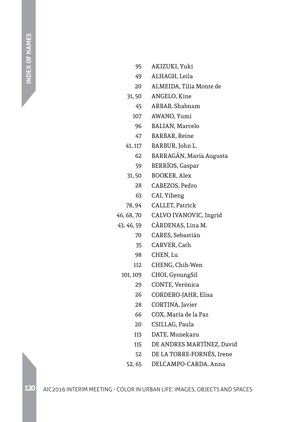- AKIZUKI, Yuki 95
- ALHAGH, Leila 49
- ALMEIDA, Tilia Monte de 20
- ANGELO, Kine 31, 50
	- ARBAB, Shabnam 45
	- AWANO, Yumi 107
	- BALIAN, Marcelo 96
	- BARBAR, Reine 47
- BARBUR, John L. 41, 117
	- BARRAGÁN, María Augusta 62
	- BERRÍOS, Gaspar 59
- BOOKER, Alex 31, 50
	- CABEZOS, Pedro 28
	- CAI, Yiheng 63
- CALLET, Patrick 78, 94
- CALVO IVANOVIC, Ingrid 46, 68, 70
- CÁRDENAS, Lina M. 43, 46, 59
	- CARES, Sebastián 70
	- CARVER, Cath 35
	- CHEN, Lu 98
	- CHENG, Chih-Wen 112
	- CHOI, GyoungSil 101, 109
		- CONTE, Verónica 29
		- CORDERO-JAHR, Elisa 26
		- CORTINA, Javier 28
		- COX, María de la Paz 66
		- CSILLAG, Paula 20
		- DATE, Munekazu 113
		- DE ANDRES MARTÍNEZ, David 115
		- DE LA TORRE-FORNÉS, Irene 52
		- DELCAMPO-CARDA, Anna 52, 65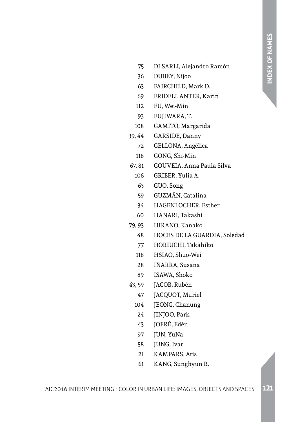- DI SARLI, Alejandro Ramón 75
- DUBEY, Nijoo 36
- FAIRCHILD, Mark D. 63
- FRIDELL ANTER, Karin 69
- FU, Wei-Min 112
- FUJIWARA, T. 93
- GAMITO, Margarida 108
- GARSIDE, Danny 39, 44
	- GELLONA, Angélica 72
	- GONG, Shi-Min 118
- GOUVEIA, Anna Paula Silva 67, 81
	- GRIBER, Yulia A. 106
	- GUO, Song 63
	- GUZMÁN, Catalina 59
	- HAGENLOCHER, Esther 34
	- HANARI, Takashi 60
- HIRANO, Kanako 79, 93
	- HOCES DE LA GUARDIA, Soledad 48
	- HORIUCHI, Takahiko 77
	- HSIAO, Shuo-Wei 118
	- IÑARRA, Susana 28
	- ISAWA, Shoko 89
- JACOB, Rubén 43, 59
	- JACQUOT, Muriel 47
	- JEONG, Chanung 104
		- JINJOO, Park 24
	- JOFRÉ, Edén 43
	- JUN, YuNa 97
	- JUNG, Ivar 58
	- KAMPARS, Atis 21
	- KANG, Sunghyun R. 61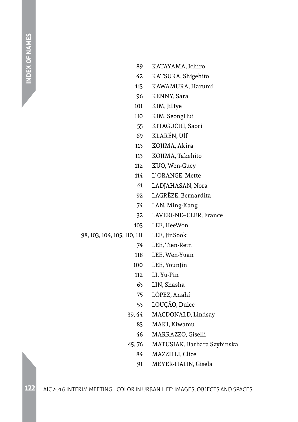- KATAYAMA, Ichiro 89
- KATSURA, Shigehito 42
- KAWAMURA, Harumi 113
- KENNY, Sara 96
- KIM, JiHye 101
- KIM, SeongHui 110
- KITAGUCHI, Saori 55
- KLARÉN, Ulf 69
- KOJIMA, Akira 113
- KOJIMA, Takehito 113
- KUO, Wen-Guey 112
- L' ORANGE, Mette 114
- LADJAHASAN, Nora 61
- LAGRÈZE, Bernardita 92
- LAN, Ming-Kang 74

LEE, JinSook

- LAVERGNE–CLER, France 32
- LEE, HeeWon 103
- 98, 103, 104, 105, 110, 111
	- LEE, Tien-Rein 74
	- LEE, Wen-Yuan 118
	- LEE, YounJin 100
	- LI, Yu-Pin 112
	- LIN, Shasha 63
	- LÓPEZ, Anahí 75
	- LOUÇÃO, Dulce 53
	- MACDONALD, Lindsay 39, 44
		- MAKI, Kiwamu 83
		- MARRAZZO, Giselli 46
	- MATUSIAK, Barbara Szybinska 45, 76
		- MAZZILLI, Clice 84
		- MEYER-HAHN, Gisela 91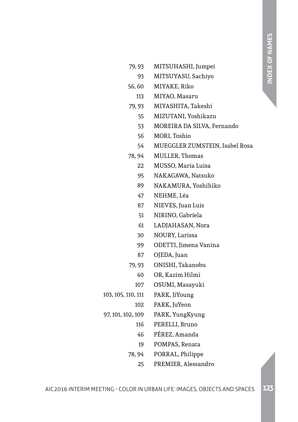- MITSUHASHI, Jumpei 79, 93
	- MITSUYASU, Sachiyo 93
- MIYAKE, Riko 56, 60
	- MIYAO, Masaru 113
- MIYASHITA, Takeshi 79, 93
	- MIZUTANI, Yoshikazu 55
		- MOREIRA DA SILVA, Fernando 53
	- MORI, Toshio 56
	- MUEGGLER ZUMSTEIN, Isabel Rosa 54
- MULLER, Thomas 78, 94
	- MUSSO, Maria Luisa 22
	- NAKAGAWA, Natsuko 95
	- NAKAMURA, Yoshihiko 89
	- NEHME, Léa 47
	- NIEVES, Juan Luis 87
	- NIRINO, Gabriela 51
	- LADJAHASAN, Nora 61
	- NOURY, Larissa 30
	- ODETTI, Jimena Vanina 99
	- OJEDA, Juan 87
- ONISHI, Takanobu 79, 93
	- OR, Kazim Hilmi 40
- OSUMI, Masayuki 107
- PARK, JiYoung 103, 105, 110, 111
	- PARK, JuYeon 102
- PARK, YungKyung 97, 101, 102, 109
	- PERELLI, Bruno 116
		- PÉREZ, Amanda 46
	- POMPAS, Renata 19
	- PORRAL, Philippe 78, 94
		- PREMIER, Alessandro 25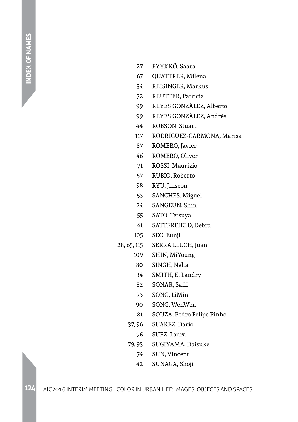- PYYKKÖ, Saara 27
- QUATTRER, Milena 67
- REISINGER, Markus 54
- REUTTER, Patricia 72
- REYES GONZÁLEZ, Alberto 99
- REYES GONZÁLEZ, Andrés 99
- ROBSON, Stuart 44
- RODRÍGUEZ-CARMONA, Marisa 117
- ROMERO, Javier 87
- ROMERO, Oliver 46
- ROSSI, Maurizio 71
- RUBIO, Roberto 57
- RYU, Jinseon 98
- SANCHES, Miguel 53
- SANGEUN, Shin 24
- SATO, Tetsuya 55
- SATTERFIELD, Debra 61
- SEO, Eunji 105
- SERRA LLUCH, Juan 28, 65, 115
	- SHIN, MiYoung 109
	- SINGH, Neha 80
	- SMITH, E. Landry 34
	- SONAR, Saili 82
	- SONG, LiMin 73
	- SONG, WenWen 90
	- SOUZA, Pedro Felipe Pinho 81
	- SUAREZ, Darío 37, 96
		- SUEZ, Laura 96
	- SUGIYAMA, Daisuke 79, 93
		- SUN, Vincent 74
		- SUNAGA, Shoji 42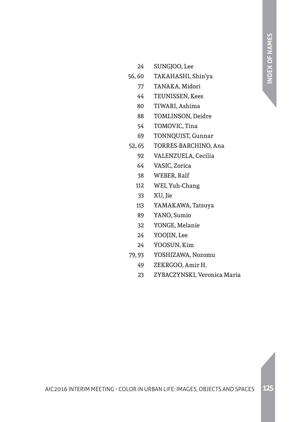- SUNGJOO, Lee 24
- TAKAHASHI, Shin'ya 56, 60
	- TANAKA, Midori 77
	- TEUNISSEN, Kees 44
	- TIWARI, Ashima 80
	- TOMLINSON, Deidre 88
	- TOMOVIC, Tina 54
	- TONNQUIST, Gunnar 69
- TORRES-BARCHINO, Ana 52, 65
	- VALENZUELA, Cecilia 92
	- VASIC, Zorica 64
	- WEBER, Ralf 38
	- WEI, Yuh-Chang 112
	- XU, Jie 33
	- YAMAKAWA, Tatsuya 113
	- YANO, Sumio 89
	- YONGE, Melanie 32
	- YOOJIN, Lee 24
	- YOOSUN, Kim 24
- YOSHIZAWA, Nozomu 79, 93
	- ZEKRGOO, Amir H. 49
	- ZYBACZYNSKI, Veronica Maria 23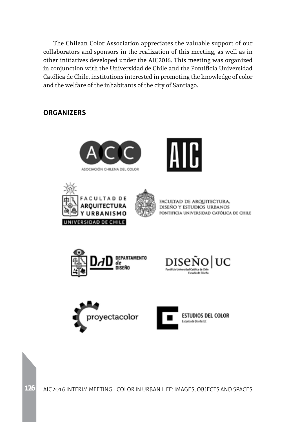The Chilean Color Association appreciates the valuable support of our collaborators and sponsors in the realization of this meeting, as well as in other initiatives developed under the AIC2016. This meeting was organized in conjunction with the Universidad de Chile and the Pontificia Universidad Católica de Chile, institutions interested in promoting the knowledge of color and the welfare of the inhabitants of the city of Santiago.

#### **organizers**









FACULTAD DE ARQUITECTURA. DISEÑO Y ESTUDIOS URBANOS PONTIFICIA UNIVERSIDAD CATÓLICA DE CHILE







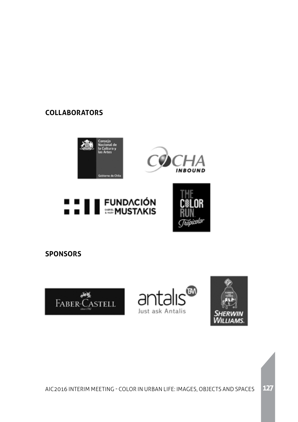## **COLLABORATORS**



**SPONSORS**